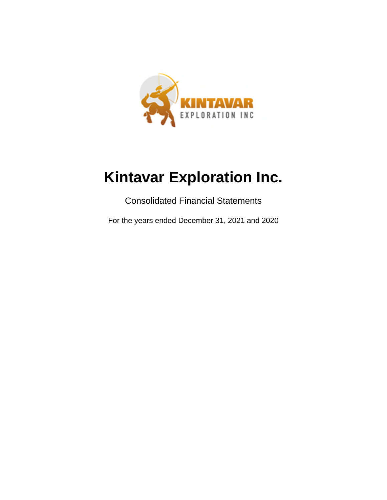

Consolidated Financial Statements

For the years ended December 31, 2021 and 2020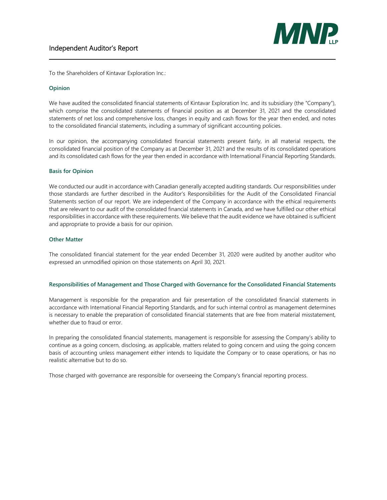

To the Shareholders of Kintavar Exploration Inc.:

#### **Opinion**

We have audited the consolidated financial statements of Kintavar Exploration Inc. and its subsidiary (the "Company"), which comprise the consolidated statements of financial position as at December 31, 2021 and the consolidated statements of net loss and comprehensive loss, changes in equity and cash flows for the year then ended, and notes to the consolidated financial statements, including a summary of significant accounting policies.

In our opinion, the accompanying consolidated financial statements present fairly, in all material respects, the consolidated financial position of the Company as at December 31, 2021 and the results of its consolidated operations and its consolidated cash flows for the year then ended in accordance with International Financial Reporting Standards.

#### **Basis for Opinion**

We conducted our audit in accordance with Canadian generally accepted auditing standards. Our responsibilities under those standards are further described in the Auditor's Responsibilities for the Audit of the Consolidated Financial Statements section of our report. We are independent of the Company in accordance with the ethical requirements that are relevant to our audit of the consolidated financial statements in Canada, and we have fulfilled our other ethical responsibilities in accordance with these requirements. We believe that the audit evidence we have obtained is sufficient and appropriate to provide a basis for our opinion.

#### **Other Matter**

The consolidated financial statement for the year ended December 31, 2020 were audited by another auditor who expressed an unmodified opinion on those statements on April 30, 2021.

#### **Responsibilities of Management and Those Charged with Governance for the Consolidated Financial Statements**

Management is responsible for the preparation and fair presentation of the consolidated financial statements in accordance with International Financial Reporting Standards, and for such internal control as management determines is necessary to enable the preparation of consolidated financial statements that are free from material misstatement, whether due to fraud or error.

In preparing the consolidated financial statements, management is responsible for assessing the Company's ability to continue as a going concern, disclosing, as applicable, matters related to going concern and using the going concern basis of accounting unless management either intends to liquidate the Company or to cease operations, or has no realistic alternative but to do so.

Those charged with governance are responsible for overseeing the Company's financial reporting process.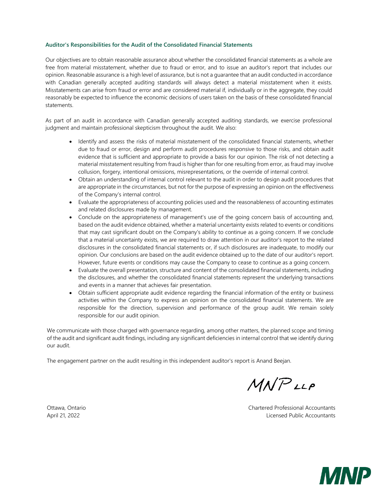#### **Auditor's Responsibilities for the Audit of the Consolidated Financial Statements**

Our objectives are to obtain reasonable assurance about whether the consolidated financial statements as a whole are free from material misstatement, whether due to fraud or error, and to issue an auditor's report that includes our opinion. Reasonable assurance is a high level of assurance, but is not a guarantee that an audit conducted in accordance with Canadian generally accepted auditing standards will always detect a material misstatement when it exists. Misstatements can arise from fraud or error and are considered material if, individually or in the aggregate, they could reasonably be expected to influence the economic decisions of users taken on the basis of these consolidated financial statements.

As part of an audit in accordance with Canadian generally accepted auditing standards, we exercise professional judgment and maintain professional skepticism throughout the audit. We also:

- Identify and assess the risks of material misstatement of the consolidated financial statements, whether due to fraud or error, design and perform audit procedures responsive to those risks, and obtain audit evidence that is sufficient and appropriate to provide a basis for our opinion. The risk of not detecting a material misstatement resulting from fraud is higher than for one resulting from error, as fraud may involve collusion, forgery, intentional omissions, misrepresentations, or the override of internal control.
- Obtain an understanding of internal control relevant to the audit in order to design audit procedures that are appropriate in the circumstances, but not for the purpose of expressing an opinion on the effectiveness of the Company's internal control.
- Evaluate the appropriateness of accounting policies used and the reasonableness of accounting estimates and related disclosures made by management.
- Conclude on the appropriateness of management's use of the going concern basis of accounting and, based on the audit evidence obtained, whether a material uncertainty exists related to events or conditions that may cast significant doubt on the Company's ability to continue as a going concern. If we conclude that a material uncertainty exists, we are required to draw attention in our auditor's report to the related disclosures in the consolidated financial statements or, if such disclosures are inadequate, to modify our opinion. Our conclusions are based on the audit evidence obtained up to the date of our auditor's report. However, future events or conditions may cause the Company to cease to continue as a going concern.
- Evaluate the overall presentation, structure and content of the consolidated financial statements, including the disclosures, and whether the consolidated financial statements represent the underlying transactions and events in a manner that achieves fair presentation.
- Obtain sufficient appropriate audit evidence regarding the financial information of the entity or business activities within the Company to express an opinion on the consolidated financial statements. We are responsible for the direction, supervision and performance of the group audit. We remain solely responsible for our audit opinion.

We communicate with those charged with governance regarding, among other matters, the planned scope and timing of the audit and significant audit findings, including any significant deficiencies in internal control that we identify during our audit.

The engagement partner on the audit resulting in this independent auditor's report is Anand Beejan.

 $M N P$ LLP

Ottawa, Ontario Chartered Professional Accountants April 21, 2022 Licensed Public Accountants

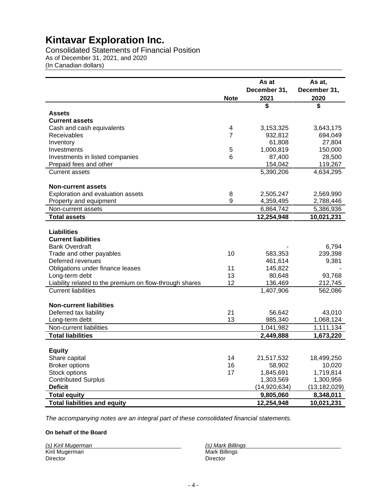Consolidated Statements of Financial Position As of December 31, 2021, and 2020 (In Canadian dollars)

|                                                         |             | As at        | As at,         |
|---------------------------------------------------------|-------------|--------------|----------------|
|                                                         |             | December 31, | December 31,   |
|                                                         | <b>Note</b> | 2021         | 2020           |
|                                                         |             | \$           | \$             |
| <b>Assets</b>                                           |             |              |                |
| <b>Current assets</b>                                   |             |              |                |
| Cash and cash equivalents                               | 4           | 3,153,325    | 3,643,175      |
| Receivables                                             | 7           | 932,812      | 694,049        |
| Inventory                                               |             | 61,808       | 27,804         |
| Investments                                             | 5           | 1,000,819    | 150,000        |
| Investments in listed companies                         | 6           | 87,400       | 28,500         |
| Prepaid fees and other                                  |             | 154,042      | 119,267        |
| <b>Current assets</b>                                   |             | 5,390,206    | 4,634,295      |
| <b>Non-current assets</b>                               |             |              |                |
| Exploration and evaluation assets                       | 8           | 2,505,247    | 2,569,990      |
| Property and equipment                                  | 9           | 4,359,495    | 2,788,446      |
| Non-current assets                                      |             | 6,864,742    | 5,386,936      |
| <b>Total assets</b>                                     |             | 12,254,948   | 10,021,231     |
|                                                         |             |              |                |
| <b>Liabilities</b>                                      |             |              |                |
| <b>Current liabilities</b>                              |             |              |                |
| <b>Bank Overdraft</b>                                   |             |              | 6,794          |
| Trade and other payables                                | 10          | 583,353      | 239,398        |
| Deferred revenues                                       |             | 461,614      | 9,381          |
| Obligations under finance leases                        | 11<br>13    | 145,822      |                |
| Long-term debt                                          |             | 80,648       | 93,768         |
| Liability related to the premium on flow-through shares | 12          | 136,469      | 212,745        |
| <b>Current liabilities</b>                              |             | 1,407,906    | 562,086        |
| <b>Non-current liabilities</b>                          |             |              |                |
| Deferred tax liability                                  | 21          | 56,642       | 43,010         |
| Long-term debt                                          | 13          | 985,340      | 1,068,124      |
| Non-current liabilities                                 |             | 1,041,982    | 1,111,134      |
| <b>Total liabilities</b>                                |             | 2,449,888    | 1,673,220      |
|                                                         |             |              |                |
| <b>Equity</b>                                           |             |              |                |
| Share capital                                           | 14          | 21,517,532   | 18,499,250     |
| <b>Broker options</b>                                   | 16          | 58,902       | 10,020         |
| Stock options                                           | 17          | 1,845,691    | 1,719,814      |
| <b>Contributed Surplus</b>                              |             | 1,303,569    | 1,300,956      |
| <b>Deficit</b>                                          |             | (14,920,634) | (13, 182, 029) |
| <b>Total equity</b>                                     |             | 9,805,060    | 8,348,011      |
| <b>Total liabilities and equity</b>                     |             | 12,254,948   | 10,021,231     |

*The accompanying notes are an integral part of these consolidated financial statements.*

#### **On behalf of the Board**

| (s) Kiril Mugerman | (s) Mark Billings |
|--------------------|-------------------|
| Kiril Mugerman     | Mark Billings     |
| Director           | Director          |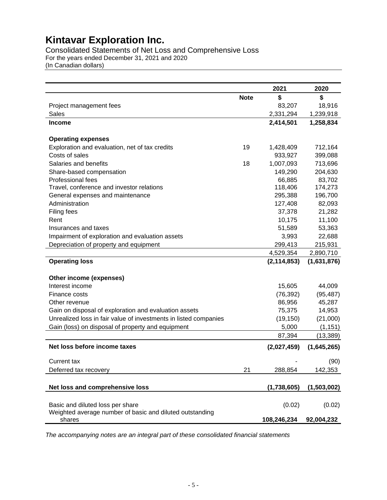Consolidated Statements of Net Loss and Comprehensive Loss For the years ended December 31, 2021 and 2020

(In Canadian dollars)

|                                                                  |             | 2021          | 2020        |
|------------------------------------------------------------------|-------------|---------------|-------------|
|                                                                  | <b>Note</b> | \$            | \$          |
| Project management fees                                          |             | 83,207        | 18,916      |
| Sales                                                            |             | 2,331,294     | 1,239,918   |
| <b>Income</b>                                                    |             | 2,414,501     | 1,258,834   |
|                                                                  |             |               |             |
| <b>Operating expenses</b>                                        |             |               |             |
| Exploration and evaluation, net of tax credits                   | 19          | 1,428,409     | 712,164     |
| Costs of sales                                                   |             | 933,927       | 399,088     |
| Salaries and benefits                                            | 18          | 1,007,093     | 713,696     |
| Share-based compensation                                         |             | 149,290       | 204,630     |
| Professional fees                                                |             | 66,885        | 83,702      |
| Travel, conference and investor relations                        |             | 118,406       | 174,273     |
| General expenses and maintenance                                 |             | 295,388       | 196,700     |
| Administration                                                   |             | 127,408       | 82,093      |
| Filing fees                                                      |             | 37,378        | 21,282      |
| Rent                                                             |             | 10,175        | 11,100      |
| Insurances and taxes                                             |             | 51,589        | 53,363      |
| Impairment of exploration and evaluation assets                  |             | 3,993         | 22,688      |
| Depreciation of property and equipment                           |             | 299,413       | 215,931     |
|                                                                  |             | 4,529,354     | 2,890,710   |
| <b>Operating loss</b>                                            |             | (2, 114, 853) | (1,631,876) |
| Other income (expenses)                                          |             |               |             |
| Interest income                                                  |             | 15,605        | 44,009      |
| Finance costs                                                    |             | (76, 392)     | (95, 487)   |
| Other revenue                                                    |             | 86,956        | 45,287      |
| Gain on disposal of exploration and evaluation assets            |             | 75,375        | 14,953      |
| Unrealized loss in fair value of investments in listed companies |             | (19, 150)     | (21,000)    |
| Gain (loss) on disposal of property and equipment                |             | 5,000         | (1, 151)    |
|                                                                  |             | 87,394        | (13, 389)   |
| Net loss before income taxes                                     |             | (2,027,459)   | (1,645,265) |
| <b>Current tax</b>                                               |             |               | (90)        |
| Deferred tax recovery                                            | 21          | 288,854       | 142,353     |
|                                                                  |             |               |             |
| Net loss and comprehensive loss                                  |             | (1,738,605)   | (1,503,002) |
| Basic and diluted loss per share                                 |             | (0.02)        | (0.02)      |
| Weighted average number of basic and diluted outstanding         |             |               |             |
| shares                                                           |             | 108,246,234   | 92,004,232  |

*The accompanying notes are an integral part of these consolidated financial statements*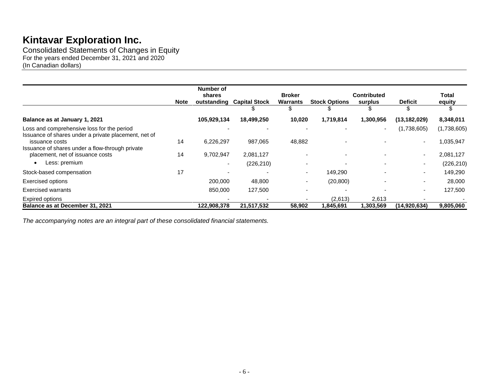Consolidated Statements of Changes in Equity For the years ended December 31, 2021 and 2020 (In Canadian dollars)

|                                                                                                    | <b>Note</b> | Number of<br>shares<br>outstanding | <b>Capital Stock</b> | <b>Broker</b><br><b>Warrants</b> | <b>Stock Options</b>     | <b>Contributed</b><br>surplus | <b>Deficit</b>           | <b>Total</b><br>equity |
|----------------------------------------------------------------------------------------------------|-------------|------------------------------------|----------------------|----------------------------------|--------------------------|-------------------------------|--------------------------|------------------------|
|                                                                                                    |             |                                    |                      |                                  |                          | S                             |                          |                        |
| Balance as at January 1, 2021                                                                      |             | 105,929,134                        | 18,499,250           | 10,020                           | 1,719,814                | 1,300,956                     | (13, 182, 029)           | 8,348,011              |
| Loss and comprehensive loss for the period<br>Issuance of shares under a private placement, net of |             |                                    |                      |                                  |                          | $\overline{\phantom{0}}$      | (1,738,605)              | (1,738,605)            |
| issuance costs                                                                                     | 14          | 6,226,297                          | 987,065              | 48,882                           |                          |                               |                          | 1,035,947              |
| Issuance of shares under a flow-through private                                                    |             |                                    |                      |                                  |                          |                               |                          |                        |
| placement, net of issuance costs                                                                   | 14          | 9,702,947                          | 2,081,127            |                                  | $\overline{\phantom{0}}$ |                               | $\overline{\phantom{0}}$ | 2,081,127              |
| Less: premium<br>٠                                                                                 |             |                                    | (226, 210)           |                                  |                          |                               | $\overline{\phantom{a}}$ | (226, 210)             |
| Stock-based compensation                                                                           | 17          |                                    |                      | - 1                              | 149,290                  |                               | $\overline{\phantom{a}}$ | 149,290                |
| <b>Exercised options</b>                                                                           |             | 200,000                            | 48,800               |                                  | (20, 800)                |                               |                          | 28,000                 |
| <b>Exercised warrants</b>                                                                          |             | 850,000                            | 127,500              |                                  |                          |                               | $\overline{\phantom{a}}$ | 127,500                |
| Expired options                                                                                    |             |                                    |                      |                                  | (2,613)                  | 2,613                         |                          |                        |
| Balance as at December 31, 2021                                                                    |             | 122,908,378                        | 21,517,532           | 58,902                           | 1,845,691                | 1,303,569                     | (14, 920, 634)           | 9,805,060              |

*The accompanying notes are an integral part of these consolidated financial statements.*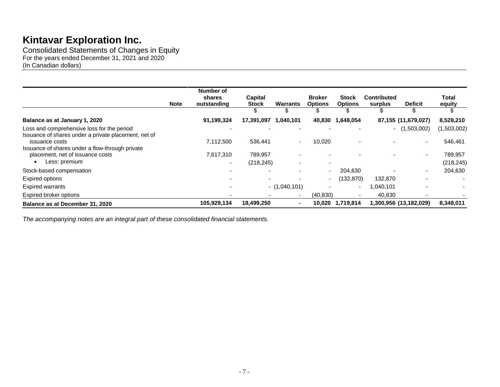Consolidated Statements of Changes in Equity For the years ended December 31, 2021 and 2020 (In Canadian dollars)

|                                                                                                      | <b>Note</b> | Number of<br>shares<br>outstanding    | Capital<br><b>Stock</b><br>S | <b>Warrants</b><br>\$    | <b>Broker</b><br><b>Options</b><br>ъ | Stock<br><b>Options</b><br>S | <b>Contributed</b><br>surplus<br>۰ħ. | <b>Deficit</b><br>\$   | Total<br>equity<br>S     |
|------------------------------------------------------------------------------------------------------|-------------|---------------------------------------|------------------------------|--------------------------|--------------------------------------|------------------------------|--------------------------------------|------------------------|--------------------------|
| Balance as at January 1, 2020                                                                        |             | 91,199,324                            | 17,391,097                   | 1,040,101                | 40,830                               | 1,648,054                    |                                      | 87,155 (11,679,027)    | 8,528,210                |
| Loss and comprehensive loss for the period<br>Issuance of shares under a private placement, net of   |             |                                       |                              |                          |                                      |                              |                                      | $-$ (1,503,002)        | (1,503,002)              |
| issuance costs                                                                                       |             | 7,112,500                             | 536,441                      | $\sim$                   | 10,020                               |                              |                                      | ٠                      | 546,461                  |
| Issuance of shares under a flow-through private<br>placement, net of issuance costs<br>Less: premium |             | 7,617,310<br>$\overline{\phantom{0}}$ | 789,957<br>(218, 245)        |                          | $\overline{\phantom{0}}$             |                              |                                      | ٠                      | 789,957<br>(218, 245)    |
| Stock-based compensation                                                                             |             |                                       |                              |                          | $\overline{\phantom{0}}$             | 204,630                      |                                      |                        | 204,630                  |
| Expired options                                                                                      |             |                                       |                              |                          | $\overline{\phantom{a}}$             | (132, 870)                   | 132,870                              |                        | $\overline{\phantom{a}}$ |
| <b>Expired warrants</b>                                                                              |             |                                       |                              | $-$ (1,040,101)          |                                      | $\overline{\phantom{0}}$     | 1,040,101                            |                        |                          |
| Expired broker options                                                                               |             |                                       |                              | $\overline{\phantom{a}}$ | (40, 830)                            |                              | 40,830                               |                        |                          |
| Balance as at December 31, 2020                                                                      |             | 105,929,134                           | 18,499,250                   |                          | 10,020                               | 1,719,814                    |                                      | 1,300,956 (13,182,029) | 8,348,011                |

*The accompanying notes are an integral part of these consolidated financial statements.*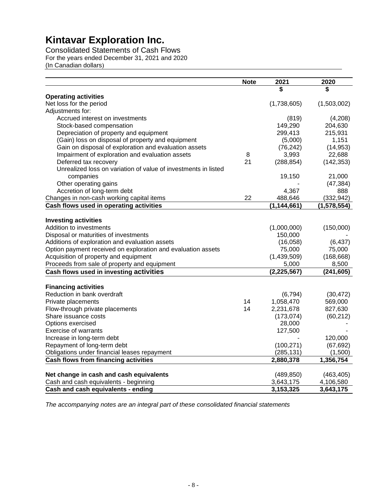Consolidated Statements of Cash Flows For the years ended December 31, 2021 and 2020 (In Canadian dollars)

|                                                                | <b>Note</b> | 2021          | 2020        |
|----------------------------------------------------------------|-------------|---------------|-------------|
|                                                                |             | S             | S           |
| <b>Operating activities</b>                                    |             |               |             |
| Net loss for the period                                        |             | (1,738,605)   | (1,503,002) |
| Adjustments for:                                               |             |               |             |
| Accrued interest on investments                                |             | (819)         | (4,208)     |
| Stock-based compensation                                       |             | 149,290       | 204,630     |
| Depreciation of property and equipment                         |             | 299,413       | 215,931     |
| (Gain) loss on disposal of property and equipment              |             | (5,000)       | 1,151       |
| Gain on disposal of exploration and evaluation assets          |             | (76, 242)     | (14, 953)   |
| Impairment of exploration and evaluation assets                | 8           | 3,993         | 22,688      |
| Deferred tax recovery                                          | 21          | (288, 854)    | (142, 353)  |
| Unrealized loss on variation of value of investments in listed |             |               |             |
| companies                                                      |             | 19,150        | 21,000      |
| Other operating gains                                          |             |               | (47, 384)   |
| Accretion of long-term debt                                    |             | 4,367         | 888         |
| Changes in non-cash working capital items                      | 22          | 488,646       | (332, 942)  |
| Cash flows used in operating activities                        |             | (1, 144, 661) | (1,578,554) |
|                                                                |             |               |             |
| <b>Investing activities</b>                                    |             |               |             |
| Addition to investments                                        |             | (1,000,000)   | (150,000)   |
| Disposal or maturities of investments                          |             | 150,000       |             |
| Additions of exploration and evaluation assets                 |             | (16,058)      | (6, 437)    |
| Option payment received on exploration and evaluation assets   |             | 75,000        | 75,000      |
| Acquisition of property and equipment                          |             | (1,439,509)   | (168, 668)  |
| Proceeds from sale of property and equipment                   |             | 5,000         | 8,500       |
| Cash flows used in investing activities                        |             | (2, 225, 567) | (241, 605)  |
|                                                                |             |               |             |
| <b>Financing activities</b>                                    |             |               |             |
| Reduction in bank overdraft                                    |             | (6, 794)      | (30, 472)   |
| Private placements                                             | 14          | 1,058,470     | 569,000     |
| Flow-through private placements                                | 14          | 2,231,678     | 827,630     |
| Share issuance costs                                           |             | (173, 074)    | (60, 212)   |
| Options exercised                                              |             | 28,000        |             |
| <b>Exercise of warrants</b>                                    |             | 127,500       |             |
| Increase in long-term debt                                     |             |               | 120,000     |
| Repayment of long-term debt                                    |             | (100, 271)    | (67, 692)   |
| Obligations under financial leases repayment                   |             | (285, 131)    | (1,500)     |
| <b>Cash flows from financing activities</b>                    |             | 2,880,378     | 1,356,754   |
|                                                                |             |               |             |
| Net change in cash and cash equivalents                        |             | (489, 850)    | (463, 405)  |
| Cash and cash equivalents - beginning                          |             | 3,643,175     | 4,106,580   |
| Cash and cash equivalents - ending                             |             | 3,153,325     | 3,643,175   |

*The accompanying notes are an integral part of these consolidated financial statements*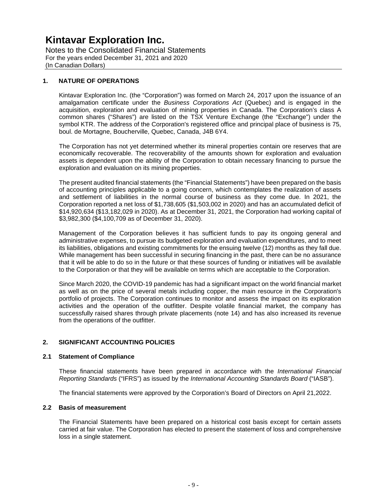Notes to the Consolidated Financial Statements For the years ended December 31, 2021 and 2020 (In Canadian Dollars)

#### **1. NATURE OF OPERATIONS**

Kintavar Exploration Inc. (the "Corporation") was formed on March 24, 2017 upon the issuance of an amalgamation certificate under the *Business Corporations Act* (Quebec) and is engaged in the acquisition, exploration and evaluation of mining properties in Canada. The Corporation's class A common shares ("Shares") are listed on the TSX Venture Exchange (the "Exchange") under the symbol KTR. The address of the Corporation's registered office and principal place of business is 75, boul. de Mortagne, Boucherville, Quebec, Canada, J4B 6Y4.

The Corporation has not yet determined whether its mineral properties contain ore reserves that are economically recoverable. The recoverability of the amounts shown for exploration and evaluation assets is dependent upon the ability of the Corporation to obtain necessary financing to pursue the exploration and evaluation on its mining properties.

The present audited financial statements (the "Financial Statements") have been prepared on the basis of accounting principles applicable to a going concern, which contemplates the realization of assets and settlement of liabilities in the normal course of business as they come due. In 2021, the Corporation reported a net loss of \$1,738,605 (\$1,503,002 in 2020) and has an accumulated deficit of \$14,920,634 (\$13,182,029 in 2020). As at December 31, 2021, the Corporation had working capital of \$3,982,300 (\$4,100,709 as of December 31, 2020).

Management of the Corporation believes it has sufficient funds to pay its ongoing general and administrative expenses, to pursue its budgeted exploration and evaluation expenditures, and to meet its liabilities, obligations and existing commitments for the ensuing twelve (12) months as they fall due. While management has been successful in securing financing in the past, there can be no assurance that it will be able to do so in the future or that these sources of funding or initiatives will be available to the Corporation or that they will be available on terms which are acceptable to the Corporation.

Since March 2020, the COVID-19 pandemic has had a significant impact on the world financial market as well as on the price of several metals including copper, the main resource in the Corporation's portfolio of projects. The Corporation continues to monitor and assess the impact on its exploration activities and the operation of the outfitter. Despite volatile financial market, the company has successfully raised shares through private placements (note 14) and has also increased its revenue from the operations of the outfitter.

#### **2. SIGNIFICANT ACCOUNTING POLICIES**

#### **2.1 Statement of Compliance**

These financial statements have been prepared in accordance with the *International Financial Reporting Standards* ("IFRS") as issued by the *International Accounting Standards Board* ("IASB").

The financial statements were approved by the Corporation's Board of Directors on April 21,2022.

#### **2.2 Basis of measurement**

The Financial Statements have been prepared on a historical cost basis except for certain assets carried at fair value. The Corporation has elected to present the statement of loss and comprehensive loss in a single statement.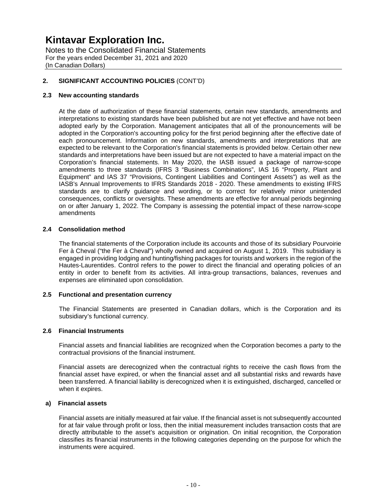Notes to the Consolidated Financial Statements For the years ended December 31, 2021 and 2020 (In Canadian Dollars)

#### **2. SIGNIFICANT ACCOUNTING POLICIES** (CONT'D)

#### **2.3 New accounting standards**

At the date of authorization of these financial statements, certain new standards, amendments and interpretations to existing standards have been published but are not yet effective and have not been adopted early by the Corporation. Management anticipates that all of the pronouncements will be adopted in the Corporation's accounting policy for the first period beginning after the effective date of each pronouncement. Information on new standards, amendments and interpretations that are expected to be relevant to the Corporation's financial statements is provided below. Certain other new standards and interpretations have been issued but are not expected to have a material impact on the Corporation's financial statements. In May 2020, the IASB issued a package of narrow-scope amendments to three standards (IFRS 3 "Business Combinations", IAS 16 "Property, Plant and Equipment" and IAS 37 "Provisions, Contingent Liabilities and Contingent Assets") as well as the IASB's Annual Improvements to IFRS Standards 2018 - 2020. These amendments to existing IFRS standards are to clarify guidance and wording, or to correct for relatively minor unintended consequences, conflicts or oversights. These amendments are effective for annual periods beginning on or after January 1, 2022. The Company is assessing the potential impact of these narrow-scope amendments

#### **2.4 Consolidation method**

The financial statements of the Corporation include its accounts and those of its subsidiary Pourvoirie Fer à Cheval ("the Fer à Cheval") wholly owned and acquired on August 1, 2019. This subsidiary is engaged in providing lodging and hunting/fishing packages for tourists and workers in the region of the Hautes-Laurentides. Control refers to the power to direct the financial and operating policies of an entity in order to benefit from its activities. All intra-group transactions, balances, revenues and expenses are eliminated upon consolidation.

#### **2.5 Functional and presentation currency**

The Financial Statements are presented in Canadian dollars, which is the Corporation and its subsidiary's functional currency.

#### **2.6 Financial Instruments**

Financial assets and financial liabilities are recognized when the Corporation becomes a party to the contractual provisions of the financial instrument.

Financial assets are derecognized when the contractual rights to receive the cash flows from the financial asset have expired, or when the financial asset and all substantial risks and rewards have been transferred. A financial liability is derecognized when it is extinguished, discharged, cancelled or when it expires.

#### **a) Financial assets**

Financial assets are initially measured at fair value. If the financial asset is not subsequently accounted for at fair value through profit or loss, then the initial measurement includes transaction costs that are directly attributable to the asset's acquisition or origination. On initial recognition, the Corporation classifies its financial instruments in the following categories depending on the purpose for which the instruments were acquired.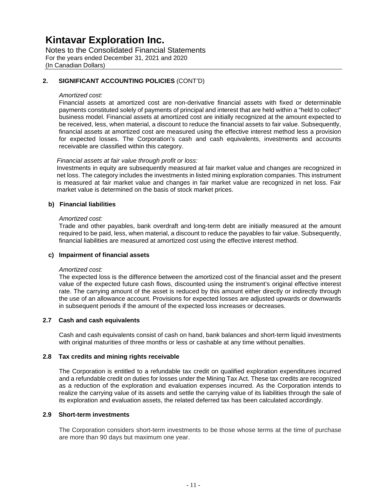Notes to the Consolidated Financial Statements For the years ended December 31, 2021 and 2020 (In Canadian Dollars)

#### **2. SIGNIFICANT ACCOUNTING POLICIES** (CONT'D)

#### *Amortized cost:*

Financial assets at amortized cost are non-derivative financial assets with fixed or determinable payments constituted solely of payments of principal and interest that are held within a "held to collect" business model. Financial assets at amortized cost are initially recognized at the amount expected to be received, less, when material, a discount to reduce the financial assets to fair value. Subsequently, financial assets at amortized cost are measured using the effective interest method less a provision for expected losses. The Corporation's cash and cash equivalents, investments and accounts receivable are classified within this category.

#### *Financial assets at fair value through profit or loss:*

Investments in equity are subsequently measured at fair market value and changes are recognized in net loss. The category includes the investments in listed mining exploration companies. This instrument is measured at fair market value and changes in fair market value are recognized in net loss. Fair market value is determined on the basis of stock market prices.

#### **b) Financial liabilities**

#### *Amortized cost:*

Trade and other payables, bank overdraft and long-term debt are initially measured at the amount required to be paid, less, when material, a discount to reduce the payables to fair value. Subsequently, financial liabilities are measured at amortized cost using the effective interest method.

#### **c) Impairment of financial assets**

#### *Amortized cost:*

The expected loss is the difference between the amortized cost of the financial asset and the present value of the expected future cash flows, discounted using the instrument's original effective interest rate. The carrying amount of the asset is reduced by this amount either directly or indirectly through the use of an allowance account. Provisions for expected losses are adjusted upwards or downwards in subsequent periods if the amount of the expected loss increases or decreases.

#### **2.7 Cash and cash equivalents**

Cash and cash equivalents consist of cash on hand, bank balances and short-term liquid investments with original maturities of three months or less or cashable at any time without penalties.

#### **2.8 Tax credits and mining rights receivable**

The Corporation is entitled to a refundable tax credit on qualified exploration expenditures incurred and a refundable credit on duties for losses under the Mining Tax Act. These tax credits are recognized as a reduction of the exploration and evaluation expenses incurred. As the Corporation intends to realize the carrying value of its assets and settle the carrying value of its liabilities through the sale of its exploration and evaluation assets, the related deferred tax has been calculated accordingly.

#### **2.9 Short-term investments**

The Corporation considers short-term investments to be those whose terms at the time of purchase are more than 90 days but maximum one year.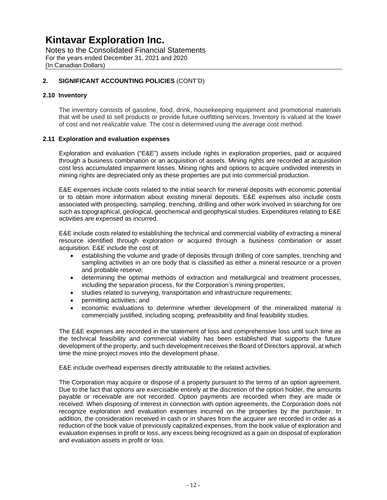Notes to the Consolidated Financial Statements For the years ended December 31, 2021 and 2020 (In Canadian Dollars)

#### **2. SIGNIFICANT ACCOUNTING POLICIES** (CONT'D)

#### **2.10 Inventory**

The inventory consists of gasoline, food, drink, housekeeping equipment and promotional materials that will be used to sell products or provide future outfitting services. Inventory is valued at the lower of cost and net realizable value. The cost is determined using the average cost method.

#### **2.11 Exploration and evaluation expenses**

Exploration and evaluation ("E&E") assets include rights in exploration properties, paid or acquired through a business combination or an acquisition of assets. Mining rights are recorded at acquisition cost less accumulated impairment losses. Mining rights and options to acquire undivided interests in mining rights are depreciated only as these properties are put into commercial production.

E&E expenses include costs related to the initial search for mineral deposits with economic potential or to obtain more information about existing mineral deposits. E&E expenses also include costs associated with prospecting, sampling, trenching, drilling and other work involved in searching for ore such as topographical, geological, geochemical and geophysical studies. Expenditures relating to E&E activities are expensed as incurred.

E&E include costs related to establishing the technical and commercial viability of extracting a mineral resource identified through exploration or acquired through a business combination or asset acquisition. E&E include the cost of:

- establishing the volume and grade of deposits through drilling of core samples, trenching and sampling activities in an ore body that is classified as either a mineral resource or a proven and probable reserve;
- determining the optimal methods of extraction and metallurgical and treatment processes, including the separation process, for the Corporation's mining properties;
- studies related to surveying, transportation and infrastructure requirements;
- permitting activities; and
- economic evaluations to determine whether development of the mineralized material is commercially justified, including scoping, prefeasibility and final feasibility studies.

The E&E expenses are recorded in the statement of loss and comprehensive loss until such time as the technical feasibility and commercial viability has been established that supports the future development of the property, and such development receives the Board of Directors approval, at which time the mine project moves into the development phase.

E&E include overhead expenses directly attributable to the related activities.

The Corporation may acquire or dispose of a property pursuant to the terms of an option agreement. Due to the fact that options are exercisable entirely at the discretion of the option holder, the amounts payable or receivable are not recorded. Option payments are recorded when they are made or received. When disposing of interest in connection with option agreements, the Corporation does not recognize exploration and evaluation expenses incurred on the properties by the purchaser. In addition, the consideration received in cash or in shares from the acquirer are recorded in order as a reduction of the book value of previously capitalized expenses, from the book value of exploration and evaluation expenses in profit or loss, any excess being recognized as a gain on disposal of exploration and evaluation assets in profit or loss.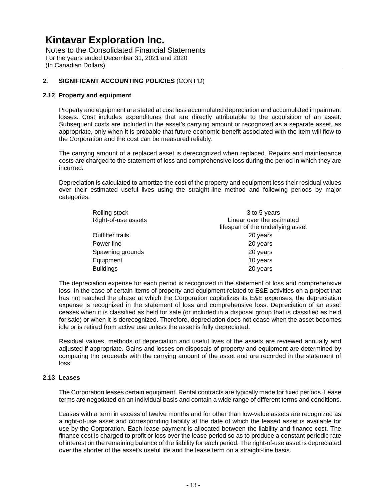Notes to the Consolidated Financial Statements For the years ended December 31, 2021 and 2020 (In Canadian Dollars)

#### **2. SIGNIFICANT ACCOUNTING POLICIES** (CONT'D)

#### **2.12 Property and equipment**

Property and equipment are stated at cost less accumulated depreciation and accumulated impairment losses. Cost includes expenditures that are directly attributable to the acquisition of an asset. Subsequent costs are included in the asset's carrying amount or recognized as a separate asset, as appropriate, only when it is probable that future economic benefit associated with the item will flow to the Corporation and the cost can be measured reliably.

The carrying amount of a replaced asset is derecognized when replaced. Repairs and maintenance costs are charged to the statement of loss and comprehensive loss during the period in which they are incurred.

Depreciation is calculated to amortize the cost of the property and equipment less their residual values over their estimated useful lives using the straight-line method and following periods by major categories:

| Rolling stock           | 3 to 5 years                     |
|-------------------------|----------------------------------|
| Right-of-use assets     | Linear over the estimated        |
|                         | lifespan of the underlying asset |
| <b>Outfitter trails</b> | 20 years                         |
| Power line              | 20 years                         |
| Spawning grounds        | 20 years                         |
| Equipment               | 10 years                         |
| <b>Buildings</b>        | 20 years                         |

The depreciation expense for each period is recognized in the statement of loss and comprehensive loss. In the case of certain items of property and equipment related to E&E activities on a project that has not reached the phase at which the Corporation capitalizes its E&E expenses, the depreciation expense is recognized in the statement of loss and comprehensive loss. Depreciation of an asset ceases when it is classified as held for sale (or included in a disposal group that is classified as held for sale) or when it is derecognized. Therefore, depreciation does not cease when the asset becomes idle or is retired from active use unless the asset is fully depreciated.

Residual values, methods of depreciation and useful lives of the assets are reviewed annually and adjusted if appropriate. Gains and losses on disposals of property and equipment are determined by comparing the proceeds with the carrying amount of the asset and are recorded in the statement of loss.

#### **2.13 Leases**

The Corporation leases certain equipment. Rental contracts are typically made for fixed periods. Lease terms are negotiated on an individual basis and contain a wide range of different terms and conditions.

Leases with a term in excess of twelve months and for other than low-value assets are recognized as a right-of-use asset and corresponding liability at the date of which the leased asset is available for use by the Corporation. Each lease payment is allocated between the liability and finance cost. The finance cost is charged to profit or loss over the lease period so as to produce a constant periodic rate of interest on the remaining balance of the liability for each period. The right-of-use asset is depreciated over the shorter of the asset's useful life and the lease term on a straight-line basis.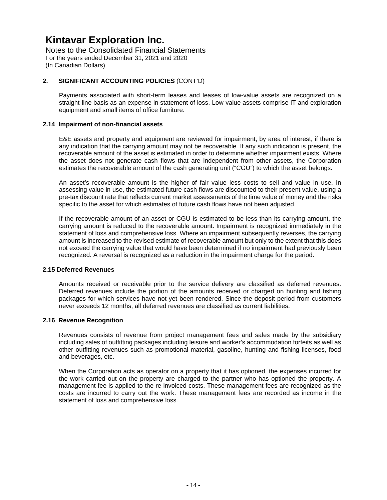Notes to the Consolidated Financial Statements For the years ended December 31, 2021 and 2020 (In Canadian Dollars)

#### **2. SIGNIFICANT ACCOUNTING POLICIES** (CONT'D)

Payments associated with short-term leases and leases of low-value assets are recognized on a straight-line basis as an expense in statement of loss. Low-value assets comprise IT and exploration equipment and small items of office furniture.

#### **2.14 Impairment of non-financial assets**

E&E assets and property and equipment are reviewed for impairment, by area of interest, if there is any indication that the carrying amount may not be recoverable. If any such indication is present, the recoverable amount of the asset is estimated in order to determine whether impairment exists. Where the asset does not generate cash flows that are independent from other assets, the Corporation estimates the recoverable amount of the cash generating unit ("CGU") to which the asset belongs.

An asset's recoverable amount is the higher of fair value less costs to sell and value in use. In assessing value in use, the estimated future cash flows are discounted to their present value, using a pre-tax discount rate that reflects current market assessments of the time value of money and the risks specific to the asset for which estimates of future cash flows have not been adjusted.

If the recoverable amount of an asset or CGU is estimated to be less than its carrying amount, the carrying amount is reduced to the recoverable amount. Impairment is recognized immediately in the statement of loss and comprehensive loss. Where an impairment subsequently reverses, the carrying amount is increased to the revised estimate of recoverable amount but only to the extent that this does not exceed the carrying value that would have been determined if no impairment had previously been recognized. A reversal is recognized as a reduction in the impairment charge for the period.

#### **2.15 Deferred Revenues**

Amounts received or receivable prior to the service delivery are classified as deferred revenues. Deferred revenues include the portion of the amounts received or charged on hunting and fishing packages for which services have not yet been rendered. Since the deposit period from customers never exceeds 12 months, all deferred revenues are classified as current liabilities.

#### **2.16 Revenue Recognition**

Revenues consists of revenue from project management fees and sales made by the subsidiary including sales of outfitting packages including leisure and worker's accommodation forfeits as well as other outfitting revenues such as promotional material, gasoline, hunting and fishing licenses, food and beverages, etc.

When the Corporation acts as operator on a property that it has optioned, the expenses incurred for the work carried out on the property are charged to the partner who has optioned the property. A management fee is applied to the re-invoiced costs. These management fees are recognized as the costs are incurred to carry out the work. These management fees are recorded as income in the statement of loss and comprehensive loss.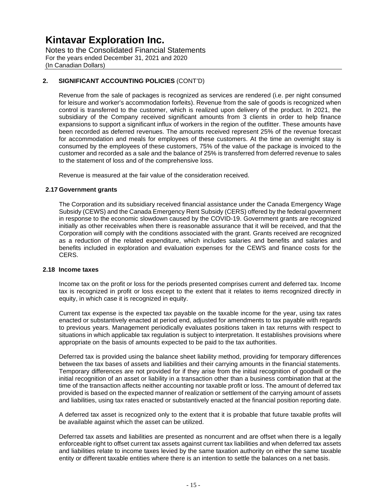Notes to the Consolidated Financial Statements For the years ended December 31, 2021 and 2020 (In Canadian Dollars)

#### **2. SIGNIFICANT ACCOUNTING POLICIES** (CONT'D)

Revenue from the sale of packages is recognized as services are rendered (i.e. per night consumed for leisure and worker's accommodation forfeits). Revenue from the sale of goods is recognized when control is transferred to the customer, which is realized upon delivery of the product. In 2021, the subsidiary of the Company received significant amounts from 3 clients in order to help finance expansions to support a significant influx of workers in the region of the outfitter. These amounts have been recorded as deferred revenues. The amounts received represent 25% of the revenue forecast for accommodation and meals for employees of these customers. At the time an overnight stay is consumed by the employees of these customers, 75% of the value of the package is invoiced to the customer and recorded as a sale and the balance of 25% is transferred from deferred revenue to sales to the statement of loss and of the comprehensive loss.

Revenue is measured at the fair value of the consideration received.

#### **2.17 Government grants**

The Corporation and its subsidiary received financial assistance under the Canada Emergency Wage Subsidy (CEWS) and the Canada Emergency Rent Subsidy (CERS) offered by the federal government in response to the economic slowdown caused by the COVID-19. Government grants are recognized initially as other receivables when there is reasonable assurance that it will be received, and that the Corporation will comply with the conditions associated with the grant. Grants received are recognized as a reduction of the related expenditure, which includes salaries and benefits and salaries and benefits included in exploration and evaluation expenses for the CEWS and finance costs for the CERS.

#### **2.18 Income taxes**

Income tax on the profit or loss for the periods presented comprises current and deferred tax. Income tax is recognized in profit or loss except to the extent that it relates to items recognized directly in equity, in which case it is recognized in equity.

Current tax expense is the expected tax payable on the taxable income for the year, using tax rates enacted or substantively enacted at period end, adjusted for amendments to tax payable with regards to previous years. Management periodically evaluates positions taken in tax returns with respect to situations in which applicable tax regulation is subject to interpretation. It establishes provisions where appropriate on the basis of amounts expected to be paid to the tax authorities.

Deferred tax is provided using the balance sheet liability method, providing for temporary differences between the tax bases of assets and liabilities and their carrying amounts in the financial statements. Temporary differences are not provided for if they arise from the initial recognition of goodwill or the initial recognition of an asset or liability in a transaction other than a business combination that at the time of the transaction affects neither accounting nor taxable profit or loss. The amount of deferred tax provided is based on the expected manner of realization or settlement of the carrying amount of assets and liabilities, using tax rates enacted or substantively enacted at the financial position reporting date.

A deferred tax asset is recognized only to the extent that it is probable that future taxable profits will be available against which the asset can be utilized.

Deferred tax assets and liabilities are presented as noncurrent and are offset when there is a legally enforceable right to offset current tax assets against current tax liabilities and when deferred tax assets and liabilities relate to income taxes levied by the same taxation authority on either the same taxable entity or different taxable entities where there is an intention to settle the balances on a net basis.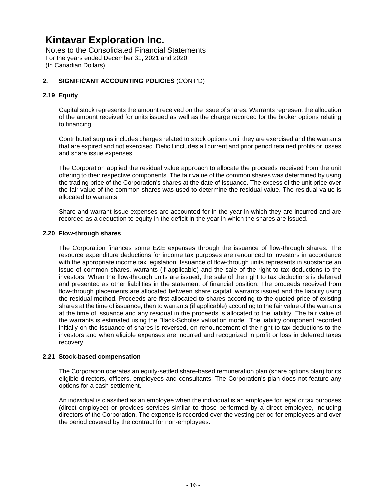Notes to the Consolidated Financial Statements For the years ended December 31, 2021 and 2020 (In Canadian Dollars)

#### **2. SIGNIFICANT ACCOUNTING POLICIES** (CONT'D)

#### **2.19 Equity**

Capital stock represents the amount received on the issue of shares. Warrants represent the allocation of the amount received for units issued as well as the charge recorded for the broker options relating to financing.

Contributed surplus includes charges related to stock options until they are exercised and the warrants that are expired and not exercised. Deficit includes all current and prior period retained profits or losses and share issue expenses.

The Corporation applied the residual value approach to allocate the proceeds received from the unit offering to their respective components. The fair value of the common shares was determined by using the trading price of the Corporation's shares at the date of issuance. The excess of the unit price over the fair value of the common shares was used to determine the residual value. The residual value is allocated to warrants

Share and warrant issue expenses are accounted for in the year in which they are incurred and are recorded as a deduction to equity in the deficit in the year in which the shares are issued.

#### **2.20 Flow-through shares**

The Corporation finances some E&E expenses through the issuance of flow-through shares. The resource expenditure deductions for income tax purposes are renounced to investors in accordance with the appropriate income tax legislation. Issuance of flow-through units represents in substance an issue of common shares, warrants (if applicable) and the sale of the right to tax deductions to the investors. When the flow-through units are issued, the sale of the right to tax deductions is deferred and presented as other liabilities in the statement of financial position. The proceeds received from flow-through placements are allocated between share capital, warrants issued and the liability using the residual method. Proceeds are first allocated to shares according to the quoted price of existing shares at the time of issuance, then to warrants (if applicable) according to the fair value of the warrants at the time of issuance and any residual in the proceeds is allocated to the liability. The fair value of the warrants is estimated using the Black-Scholes valuation model. The liability component recorded initially on the issuance of shares is reversed, on renouncement of the right to tax deductions to the investors and when eligible expenses are incurred and recognized in profit or loss in deferred taxes recovery.

#### **2.21 Stock-based compensation**

The Corporation operates an equity-settled share-based remuneration plan (share options plan) for its eligible directors, officers, employees and consultants. The Corporation's plan does not feature any options for a cash settlement.

An individual is classified as an employee when the individual is an employee for legal or tax purposes (direct employee) or provides services similar to those performed by a direct employee, including directors of the Corporation. The expense is recorded over the vesting period for employees and over the period covered by the contract for non-employees.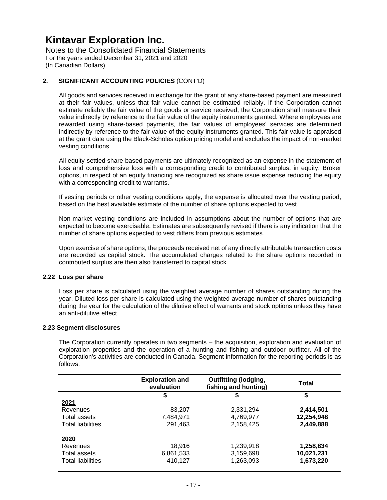Notes to the Consolidated Financial Statements For the years ended December 31, 2021 and 2020 (In Canadian Dollars)

#### **2. SIGNIFICANT ACCOUNTING POLICIES** (CONT'D)

All goods and services received in exchange for the grant of any share-based payment are measured at their fair values, unless that fair value cannot be estimated reliably. If the Corporation cannot estimate reliably the fair value of the goods or service received, the Corporation shall measure their value indirectly by reference to the fair value of the equity instruments granted. Where employees are rewarded using share-based payments, the fair values of employees' services are determined indirectly by reference to the fair value of the equity instruments granted. This fair value is appraised at the grant date using the Black-Scholes option pricing model and excludes the impact of non-market vesting conditions.

All equity-settled share-based payments are ultimately recognized as an expense in the statement of loss and comprehensive loss with a corresponding credit to contributed surplus, in equity. Broker options, in respect of an equity financing are recognized as share issue expense reducing the equity with a corresponding credit to warrants.

If vesting periods or other vesting conditions apply, the expense is allocated over the vesting period, based on the best available estimate of the number of share options expected to vest.

Non-market vesting conditions are included in assumptions about the number of options that are expected to become exercisable. Estimates are subsequently revised if there is any indication that the number of share options expected to vest differs from previous estimates.

Upon exercise of share options, the proceeds received net of any directly attributable transaction costs are recorded as capital stock. The accumulated charges related to the share options recorded in contributed surplus are then also transferred to capital stock.

#### **2.22 Loss per share**

.

Loss per share is calculated using the weighted average number of shares outstanding during the year. Diluted loss per share is calculated using the weighted average number of shares outstanding during the year for the calculation of the dilutive effect of warrants and stock options unless they have an anti-dilutive effect.

#### **2.23 Segment disclosures**

The Corporation currently operates in two segments – the acquisition, exploration and evaluation of exploration properties and the operation of a hunting and fishing and outdoor outfitter. All of the Corporation's activities are conducted in Canada. Segment information for the reporting periods is as follows:

|                          | <b>Outfitting (lodging,</b><br><b>Exploration and</b><br>fishing and hunting)<br>evaluation |           | <b>Total</b> |
|--------------------------|---------------------------------------------------------------------------------------------|-----------|--------------|
|                          | \$                                                                                          | \$        | \$           |
| 2021                     |                                                                                             |           |              |
| Revenues                 | 83,207                                                                                      | 2,331,294 | 2,414,501    |
| Total assets             | 7,484,971                                                                                   | 4,769,977 | 12,254,948   |
| <b>Total liabilities</b> | 291,463                                                                                     | 2,158,425 | 2,449,888    |
| 2020                     |                                                                                             |           |              |
| Revenues                 | 18,916                                                                                      | 1,239,918 | 1,258,834    |
| Total assets             | 6,861,533                                                                                   | 3,159,698 | 10,021,231   |
| <b>Total liabilities</b> | 410,127                                                                                     | 1,263,093 | 1,673,220    |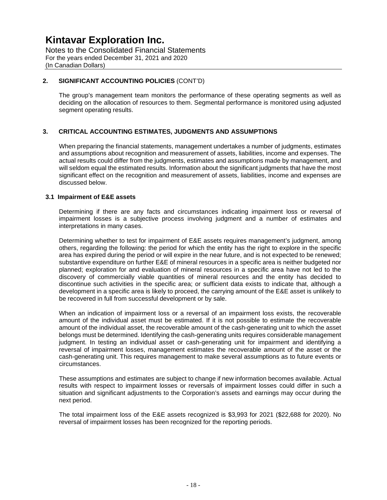Notes to the Consolidated Financial Statements For the years ended December 31, 2021 and 2020 (In Canadian Dollars)

#### **2. SIGNIFICANT ACCOUNTING POLICIES** (CONT'D)

The group's management team monitors the performance of these operating segments as well as deciding on the allocation of resources to them. Segmental performance is monitored using adjusted segment operating results.

#### **3. CRITICAL ACCOUNTING ESTIMATES, JUDGMENTS AND ASSUMPTIONS**

When preparing the financial statements, management undertakes a number of judgments, estimates and assumptions about recognition and measurement of assets, liabilities, income and expenses. The actual results could differ from the judgments, estimates and assumptions made by management, and will seldom equal the estimated results. Information about the significant judgments that have the most significant effect on the recognition and measurement of assets, liabilities, income and expenses are discussed below.

#### **3.1 Impairment of E&E assets**

Determining if there are any facts and circumstances indicating impairment loss or reversal of impairment losses is a subjective process involving judgment and a number of estimates and interpretations in many cases.

Determining whether to test for impairment of E&E assets requires management's judgment, among others, regarding the following: the period for which the entity has the right to explore in the specific area has expired during the period or will expire in the near future, and is not expected to be renewed; substantive expenditure on further E&E of mineral resources in a specific area is neither budgeted nor planned; exploration for and evaluation of mineral resources in a specific area have not led to the discovery of commercially viable quantities of mineral resources and the entity has decided to discontinue such activities in the specific area; or sufficient data exists to indicate that, although a development in a specific area is likely to proceed, the carrying amount of the E&E asset is unlikely to be recovered in full from successful development or by sale.

When an indication of impairment loss or a reversal of an impairment loss exists, the recoverable amount of the individual asset must be estimated. If it is not possible to estimate the recoverable amount of the individual asset, the recoverable amount of the cash-generating unit to which the asset belongs must be determined. Identifying the cash-generating units requires considerable management judgment. In testing an individual asset or cash-generating unit for impairment and identifying a reversal of impairment losses, management estimates the recoverable amount of the asset or the cash-generating unit. This requires management to make several assumptions as to future events or circumstances.

These assumptions and estimates are subject to change if new information becomes available. Actual results with respect to impairment losses or reversals of impairment losses could differ in such a situation and significant adjustments to the Corporation's assets and earnings may occur during the next period.

The total impairment loss of the E&E assets recognized is \$3,993 for 2021 (\$22,688 for 2020). No reversal of impairment losses has been recognized for the reporting periods.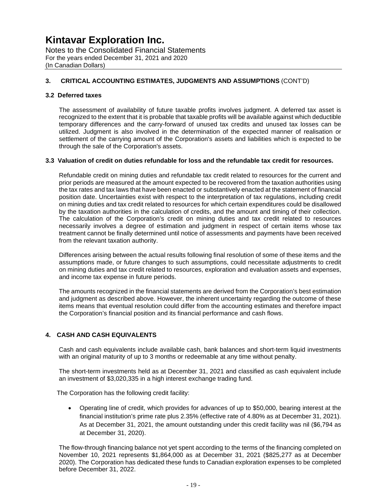Notes to the Consolidated Financial Statements For the years ended December 31, 2021 and 2020 (In Canadian Dollars)

#### **3. CRITICAL ACCOUNTING ESTIMATES, JUDGMENTS AND ASSUMPTIONS** (CONT'D)

#### **3.2 Deferred taxes**

The assessment of availability of future taxable profits involves judgment. A deferred tax asset is recognized to the extent that it is probable that taxable profits will be available against which deductible temporary differences and the carry-forward of unused tax credits and unused tax losses can be utilized. Judgment is also involved in the determination of the expected manner of realisation or settlement of the carrying amount of the Corporation's assets and liabilities which is expected to be through the sale of the Corporation's assets.

#### **3.3 Valuation of credit on duties refundable for loss and the refundable tax credit for resources.**

Refundable credit on mining duties and refundable tax credit related to resources for the current and prior periods are measured at the amount expected to be recovered from the taxation authorities using the tax rates and tax laws that have been enacted or substantively enacted at the statement of financial position date. Uncertainties exist with respect to the interpretation of tax regulations, including credit on mining duties and tax credit related to resources for which certain expenditures could be disallowed by the taxation authorities in the calculation of credits, and the amount and timing of their collection. The calculation of the Corporation's credit on mining duties and tax credit related to resources necessarily involves a degree of estimation and judgment in respect of certain items whose tax treatment cannot be finally determined until notice of assessments and payments have been received from the relevant taxation authority.

Differences arising between the actual results following final resolution of some of these items and the assumptions made, or future changes to such assumptions, could necessitate adjustments to credit on mining duties and tax credit related to resources, exploration and evaluation assets and expenses, and income tax expense in future periods.

The amounts recognized in the financial statements are derived from the Corporation's best estimation and judgment as described above. However, the inherent uncertainty regarding the outcome of these items means that eventual resolution could differ from the accounting estimates and therefore impact the Corporation's financial position and its financial performance and cash flows.

#### **4. CASH AND CASH EQUIVALENTS**

Cash and cash equivalents include available cash, bank balances and short-term liquid investments with an original maturity of up to 3 months or redeemable at any time without penalty.

The short-term investments held as at December 31, 2021 and classified as cash equivalent include an investment of \$3,020,335 in a high interest exchange trading fund.

The Corporation has the following credit facility:

 Operating line of credit, which provides for advances of up to \$50,000, bearing interest at the financial institution's prime rate plus 2.35% (effective rate of 4.80% as at December 31, 2021). As at December 31, 2021, the amount outstanding under this credit facility was nil (\$6,794 as at December 31, 2020).

The flow-through financing balance not yet spent according to the terms of the financing completed on November 10, 2021 represents \$1,864,000 as at December 31, 2021 (\$825,277 as at December 2020). The Corporation has dedicated these funds to Canadian exploration expenses to be completed before December 31, 2022.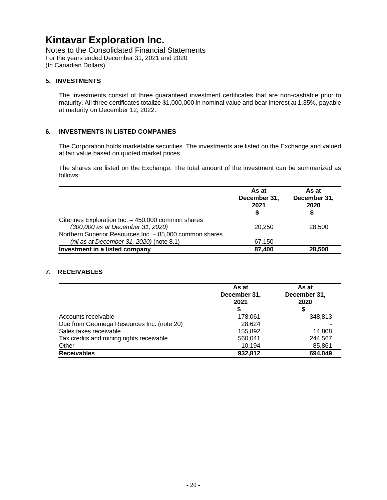Notes to the Consolidated Financial Statements For the years ended December 31, 2021 and 2020 (In Canadian Dollars)

#### **5. INVESTMENTS**

The investments consist of three guaranteed investment certificates that are non-cashable prior to maturity. All three certificates totalize \$1,000,000 in nominal value and bear interest at 1.35%, payable at maturity on December 12, 2022.

#### **6. INVESTMENTS IN LISTED COMPANIES**

The Corporation holds marketable securities. The investments are listed on the Exchange and valued at fair value based on quoted market prices.

The shares are listed on the Exchange. The total amount of the investment can be summarized as follows:

|                                                         | As at<br>December 31,<br>2021 | As at<br>December 31,<br>2020 |
|---------------------------------------------------------|-------------------------------|-------------------------------|
|                                                         | S                             |                               |
| Gitennes Exploration Inc. - 450,000 common shares       |                               |                               |
| (300,000 as at December 31, 2020)                       | 20.250                        | 28,500                        |
| Northern Superior Resources Inc. - 85,000 common shares |                               |                               |
| (nil as at December 31, 2020) (note 8.1)                | 67,150                        |                               |
| Investment in a listed company                          | 87,400                        | 28,500                        |

#### **7. RECEIVABLES**

|                                           | As at<br>December 31,<br>2021 | As at<br>December 31,<br>2020 |
|-------------------------------------------|-------------------------------|-------------------------------|
|                                           | S                             | \$                            |
| Accounts receivable                       | 178,061                       | 348,813                       |
| Due from Geomega Resources Inc. (note 20) | 28,624                        |                               |
| Sales taxes receivable                    | 155,892                       | 14.808                        |
| Tax credits and mining rights receivable  | 560,041                       | 244,567                       |
| Other                                     | 10,194                        | 85,861                        |
| <b>Receivables</b>                        | 932,812                       | 694,049                       |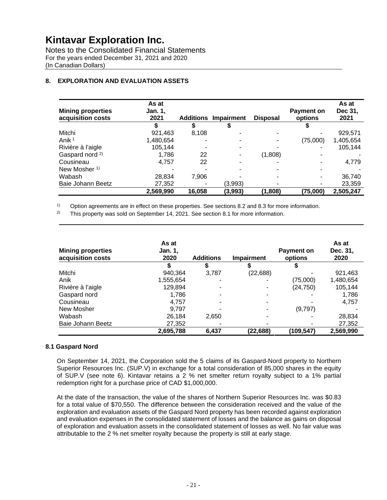Notes to the Consolidated Financial Statements For the years ended December 31, 2021 and 2020 (In Canadian Dollars)

#### **8. EXPLORATION AND EVALUATION ASSETS**

| <b>Mining properties</b><br>acquisition costs | As at<br><b>Jan. 1,</b><br>2021 | <b>Additions</b> | <b>Impairment</b>        | <b>Disposal</b> | <b>Payment on</b><br>options | As at<br>Dec 31.<br>2021 |
|-----------------------------------------------|---------------------------------|------------------|--------------------------|-----------------|------------------------------|--------------------------|
|                                               |                                 |                  |                          |                 |                              |                          |
| Mitchi                                        | 921,463                         | 8,108            |                          |                 |                              | 929,571                  |
| Anik <sup>1</sup>                             | 1,480,654                       |                  | ٠                        |                 | (75,000)                     | 1,405,654                |
| Rivière à l'aigle                             | 105,144                         |                  | $\overline{\phantom{a}}$ |                 |                              | 105,144                  |
| Gaspard nord <sup>2)</sup>                    | 1,786                           | 22               | $\overline{\phantom{a}}$ | (1,808)         |                              |                          |
| Cousineau                                     | 4,757                           | 22               | ۰                        |                 |                              | 4,779                    |
| New Mosher <sup>1)</sup>                      |                                 |                  |                          |                 |                              |                          |
| Wabash                                        | 28,834                          | 7,906            |                          |                 |                              | 36,740                   |
| Baie Johann Beetz                             | 27,352                          |                  | (3,993)                  |                 |                              | 23,359                   |
|                                               | 2,569,990                       | 16,058           | (3,993)                  | (1,808)         | (75,000)                     | 2,505,247                |

 $1)$  Option agreements are in effect on these properties. See sections 8.2 and 8.3 for more information.

<sup>2)</sup> This property was sold on September 14, 2021. See section 8.1 for more information.

| <b>Mining properties</b><br>acquisition costs | As at<br><b>Jan. 1,</b><br>2020 | <b>Additions</b> | <b>Impairment</b> | Payment on<br>options | As at<br>Dec. 31,<br>2020 |
|-----------------------------------------------|---------------------------------|------------------|-------------------|-----------------------|---------------------------|
|                                               |                                 | จ                | æ.                |                       |                           |
| Mitchi                                        | 940,364                         | 3,787            | (22, 688)         |                       | 921,463                   |
| Anik                                          | 1,555,654                       |                  |                   | (75,000)              | 1,480,654                 |
| Rivière à l'aigle                             | 129,894                         |                  |                   | (24, 750)             | 105,144                   |
| Gaspard nord                                  | 1,786                           |                  |                   |                       | 1,786                     |
| Cousineau                                     | 4,757                           |                  |                   |                       | 4,757                     |
| New Mosher                                    | 9.797                           |                  |                   | (9,797)               |                           |
| Wabash                                        | 26,184                          | 2,650            |                   |                       | 28,834                    |
| Baie Johann Beetz                             | 27,352                          |                  |                   |                       | 27,352                    |
|                                               | 2,695,788                       | 6,437            | (22,688)          | (109,547)             | 2,569,990                 |

#### **8.1 Gaspard Nord**

On September 14, 2021, the Corporation sold the 5 claims of its Gaspard-Nord property to Northern Superior Resources Inc. (SUP.V) in exchange for a total consideration of 85,000 shares in the equity of SUP.V (see note 6). Kintavar retains a 2 % net smelter return royalty subject to a 1% partial redemption right for a purchase price of CAD \$1,000,000.

At the date of the transaction, the value of the shares of Northern Superior Resources Inc. was \$0.83 for a total value of \$70,550. The difference between the consideration received and the value of the exploration and evaluation assets of the Gaspard Nord property has been recorded against exploration and evaluation expenses in the consolidated statement of losses and the balance as gains on disposal of exploration and evaluation assets in the consolidated statement of losses as well. No fair value was attributable to the 2 % net smelter royalty because the property is still at early stage.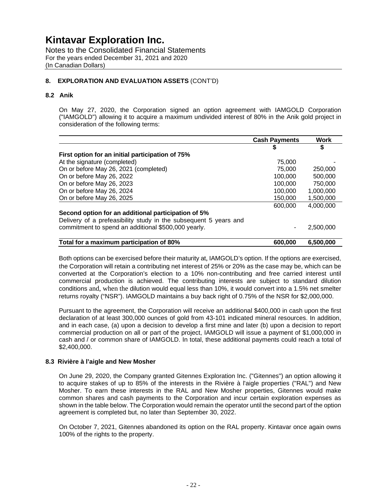Notes to the Consolidated Financial Statements For the years ended December 31, 2021 and 2020 (In Canadian Dollars)

#### **8. EXPLORATION AND EVALUATION ASSETS** (CONT'D)

#### **8.2 Anik**

On May 27, 2020, the Corporation signed an option agreement with IAMGOLD Corporation ("IAMGOLD") allowing it to acquire a maximum undivided interest of 80% in the Anik gold project in consideration of the following terms:

|                                                                  | <b>Cash Payments</b> | <b>Work</b> |
|------------------------------------------------------------------|----------------------|-------------|
|                                                                  | S                    | S           |
| First option for an initial participation of 75%                 |                      |             |
| At the signature (completed)                                     | 75,000               |             |
| On or before May 26, 2021 (completed)                            | 75,000               | 250,000     |
| On or before May 26, 2022                                        | 100.000              | 500,000     |
| On or before May 26, 2023                                        | 100.000              | 750,000     |
| On or before May 26, 2024                                        | 100.000              | 1,000,000   |
| On or before May 26, 2025                                        | 150,000              | 1,500,000   |
|                                                                  | 600,000              | 4,000,000   |
| Second option for an additional participation of 5%              |                      |             |
| Delivery of a prefeasibility study in the subsequent 5 years and |                      |             |
| commitment to spend an additional \$500,000 yearly.              |                      | 2.500.000   |
|                                                                  |                      |             |
| Total for a maximum participation of 80%                         | 600,000              | 6,500,000   |

Both options can be exercised before their maturity at, IAMGOLD's option. If the options are exercised, the Corporation will retain a contributing net interest of 25% or 20% as the case may be, which can be converted at the Corporation's election to a 10% non-contributing and free carried interest until commercial production is achieved. The contributing interests are subject to standard dilution conditions and, when the dilution would equal less than 10%, it would convert into a 1.5% net smelter returns royalty ("NSR"). IAMGOLD maintains a buy back right of 0.75% of the NSR for \$2,000,000.

Pursuant to the agreement, the Corporation will receive an additional \$400,000 in cash upon the first declaration of at least 300,000 ounces of gold from 43-101 indicated mineral resources. In addition, and in each case, (a) upon a decision to develop a first mine and later (b) upon a decision to report commercial production on all or part of the project, IAMGOLD will issue a payment of \$1,000,000 in cash and / or common share of IAMGOLD. In total, these additional payments could reach a total of \$2,400,000.

#### **8.3 Rivière à l'aigle and New Mosher**

On June 29, 2020, the Company granted Gitennes Exploration Inc. ("Gitennes") an option allowing it to acquire stakes of up to 85% of the interests in the Rivière à l'aigle properties ("RAL") and New Mosher. To earn these interests in the RAL and New Mosher properties, Gitennes would make common shares and cash payments to the Corporation and incur certain exploration expenses as shown in the table below. The Corporation would remain the operator until the second part of the option agreement is completed but, no later than September 30, 2022.

On October 7, 2021, Gitennes abandoned its option on the RAL property. Kintavar once again owns 100% of the rights to the property.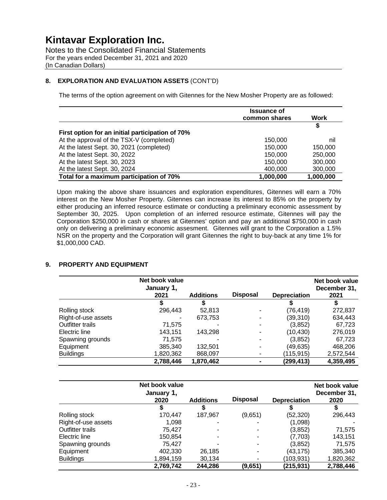Notes to the Consolidated Financial Statements For the years ended December 31, 2021 and 2020 (In Canadian Dollars)

#### **8. EXPLORATION AND EVALUATION ASSETS** (CONT'D)

The terms of the option agreement on with Gitennes for the New Mosher Property are as followed:

|                                                  | <b>Issuance of</b><br>common shares | Work      |
|--------------------------------------------------|-------------------------------------|-----------|
| First option for an initial participation of 70% |                                     | S         |
| At the approval of the TSX-V (completed)         | 150,000                             | nil       |
| At the latest Sept. 30, 2021 (completed)         | 150,000                             | 150,000   |
| At the latest Sept. 30, 2022                     | 150,000                             | 250,000   |
| At the latest Sept. 30, 2023                     | 150,000                             | 300,000   |
| At the latest Sept. 30, 2024                     | 400,000                             | 300,000   |
| Total for a maximum participation of 70%         | 1,000,000                           | 1,000,000 |

Upon making the above share issuances and exploration expenditures, Gitennes will earn a 70% interest on the New Mosher Property. Gitennes can increase its interest to 85% on the property by either producing an inferred resource estimate or conducting a preliminary economic assessment by September 30, 2025. Upon completion of an inferred resource estimate, Gitennes will pay the Corporation \$250,000 in cash or shares at Gitennes' option and pay an additional \$750,000 in cash only on delivering a preliminary economic assesment. Gitennes will grant to the Corporation a 1.5% NSR on the property and the Corporation will grant Gitennes the right to buy-back at any time 1% for \$1,000,000 CAD.

#### **9. PROPERTY AND EQUIPMENT**

|                     | Net book value<br>January 1, |                  |                 |                     | Net book value<br>December 31, |
|---------------------|------------------------------|------------------|-----------------|---------------------|--------------------------------|
|                     | 2021                         | <b>Additions</b> | <b>Disposal</b> | <b>Depreciation</b> | 2021                           |
|                     |                              |                  |                 |                     |                                |
| Rolling stock       | 296,443                      | 52,813           |                 | (76, 419)           | 272,837                        |
| Right-of-use assets |                              | 673,753          |                 | (39,310)            | 634,443                        |
| Outfitter trails    | 71,575                       |                  |                 | (3,852)             | 67,723                         |
| Electric line       | 143.151                      | 143,298          |                 | (10, 430)           | 276,019                        |
| Spawning grounds    | 71,575                       |                  | -               | (3, 852)            | 67,723                         |
| Equipment           | 385,340                      | 132,501          | -               | (49, 635)           | 468,206                        |
| <b>Buildings</b>    | 1,820,362                    | 868,097          | ۰               | (115,915)           | 2,572,544                      |
|                     | 2.788.446                    | 1,870,462        |                 | (299,413)           | 4,359,495                      |

|                     | Net book value<br>January 1,<br>2020 | <b>Additions</b> | <b>Disposal</b> | <b>Depreciation</b> | Net book value<br>December 31,<br>2020 |
|---------------------|--------------------------------------|------------------|-----------------|---------------------|----------------------------------------|
|                     |                                      |                  |                 |                     |                                        |
| Rolling stock       | 170,447                              | 187,967          | (9,651)         | (52, 320)           | 296,443                                |
| Right-of-use assets | 1.098                                |                  |                 | (1,098)             |                                        |
| Outfitter trails    | 75.427                               |                  |                 | (3,852)             | 71,575                                 |
| Electric line       | 150,854                              |                  |                 | (7,703)             | 143,151                                |
| Spawning grounds    | 75.427                               |                  |                 | (3,852)             | 71,575                                 |
| Equipment           | 402,330                              | 26,185           |                 | (43,175)            | 385,340                                |
| <b>Buildings</b>    | 1,894,159                            | 30,134           | -               | (103,931)           | 1,820,362                              |
|                     | 2,769,742                            | 244,286          | (9,651)         | (215, 931)          | 2,788,446                              |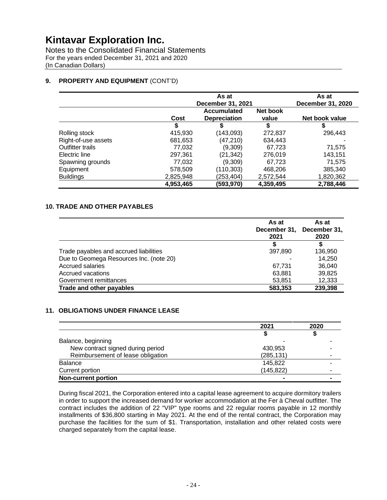Notes to the Consolidated Financial Statements For the years ended December 31, 2021 and 2020 (In Canadian Dollars)

#### **9. PROPERTY AND EQUIPMENT** (CONT'D)

|                         | As at<br>December 31, 2021 |                                    |                   | As at<br>December 31, 2020 |
|-------------------------|----------------------------|------------------------------------|-------------------|----------------------------|
|                         | Cost                       | Accumulated<br><b>Depreciation</b> | Net book<br>value | Net book value             |
|                         | J                          | S                                  | \$                | S                          |
| Rolling stock           | 415,930                    | (143,093)                          | 272,837           | 296.443                    |
| Right-of-use assets     | 681,653                    | (47,210)                           | 634,443           |                            |
| <b>Outfitter trails</b> | 77,032                     | (9,309)                            | 67,723            | 71,575                     |
| Electric line           | 297,361                    | (21, 342)                          | 276,019           | 143,151                    |
| Spawning grounds        | 77,032                     | (9,309)                            | 67,723            | 71,575                     |
| Equipment               | 578,509                    | (110,303)                          | 468,206           | 385,340                    |
| <b>Buildings</b>        | 2,825,948                  | (253,404)                          | 2,572,544         | 1,820,362                  |
|                         | 4,953,465                  | (593,970)                          | 4,359,495         | 2,788,446                  |

#### **10. TRADE AND OTHER PAYABLES**

|                                         | As at<br>December 31,<br>2021 | As at<br>December 31,<br>2020 |
|-----------------------------------------|-------------------------------|-------------------------------|
|                                         | S                             | \$                            |
| Trade payables and accrued liabilities  | 397,890                       | 136,950                       |
| Due to Geomega Resources Inc. (note 20) |                               | 14,250                        |
| <b>Accrued salaries</b>                 | 67,731                        | 36,040                        |
| Accrued vacations                       | 63,881                        | 39,825                        |
| Government remittances                  | 53,851                        | 12,333                        |
| Trade and other payables                | 583,353                       | 239,398                       |

#### **11. OBLIGATIONS UNDER FINANCE LEASE**

|                                   | 2021       | 2020 |
|-----------------------------------|------------|------|
|                                   |            |      |
| Balance, beginning                |            |      |
| New contract signed during period | 430,953    |      |
| Reimbursement of lease obligation | (285, 131) |      |
| <b>Balance</b>                    | 145,822    |      |
| Current portion                   | (145, 822) |      |
| <b>Non-current portion</b>        | ۰          |      |

During fiscal 2021, the Corporation entered into a capital lease agreement to acquire dormitory trailers in order to support the increased demand for worker accommodation at the Fer à Cheval outfitter. The contract includes the addition of 22 "VIP" type rooms and 22 regular rooms payable in 12 monthly installments of \$36,800 starting in May 2021. At the end of the rental contract, the Corporation may purchase the facilities for the sum of \$1. Transportation, installation and other related costs were charged separately from the capital lease.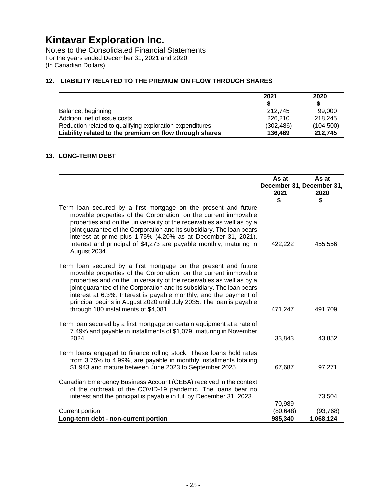Notes to the Consolidated Financial Statements For the years ended December 31, 2021 and 2020 (In Canadian Dollars)

#### **12. LIABILITY RELATED TO THE PREMIUM ON FLOW THROUGH SHARES**

|                                                          | 2021       | 2020       |
|----------------------------------------------------------|------------|------------|
|                                                          |            |            |
| Balance, beginning                                       | 212.745    | 99.000     |
| Addition, net of issue costs                             | 226,210    | 218.245    |
| Reduction related to qualifying exploration expenditures | (302, 486) | (104, 500) |
| Liability related to the premium on flow through shares  | 136,469    | 212.745    |

#### **13. LONG-TERM DEBT**

|                                                                                                                                                                                                                                                                                                                                                                                                                                                                           | As at<br>2021       | As at<br>December 31, December 31,<br>2020 |
|---------------------------------------------------------------------------------------------------------------------------------------------------------------------------------------------------------------------------------------------------------------------------------------------------------------------------------------------------------------------------------------------------------------------------------------------------------------------------|---------------------|--------------------------------------------|
|                                                                                                                                                                                                                                                                                                                                                                                                                                                                           | \$                  | \$                                         |
| Term loan secured by a first mortgage on the present and future<br>movable properties of the Corporation, on the current immovable<br>properties and on the universality of the receivables as well as by a<br>joint guarantee of the Corporation and its subsidiary. The loan bears<br>interest at prime plus 1.75% (4.20% as at December 31, 2021).<br>Interest and principal of \$4,273 are payable monthly, maturing in<br>August 2034.                               | 422,222             | 455,556                                    |
| Term loan secured by a first mortgage on the present and future<br>movable properties of the Corporation, on the current immovable<br>properties and on the universality of the receivables as well as by a<br>joint guarantee of the Corporation and its subsidiary. The loan bears<br>interest at 6.3%. Interest is payable monthly, and the payment of<br>principal begins in August 2020 until July 2035. The loan is payable<br>through 180 installments of \$4,081. | 471,247             | 491,709                                    |
| Term loan secured by a first mortgage on certain equipment at a rate of<br>7.49% and payable in installments of \$1,079, maturing in November<br>2024.                                                                                                                                                                                                                                                                                                                    | 33,843              | 43,852                                     |
| Term loans engaged to finance rolling stock. These loans hold rates<br>from 3.75% to 4.99%, are payable in monthly installments totaling<br>\$1,943 and mature between June 2023 to September 2025.                                                                                                                                                                                                                                                                       | 67,687              | 97,271                                     |
| Canadian Emergency Business Account (CEBA) received in the context<br>of the outbreak of the COVID-19 pandemic. The loans bear no<br>interest and the principal is payable in full by December 31, 2023.                                                                                                                                                                                                                                                                  |                     | 73,504                                     |
| Current portion                                                                                                                                                                                                                                                                                                                                                                                                                                                           | 70,989<br>(80, 648) | (93, 768)                                  |
| Long-term debt - non-current portion                                                                                                                                                                                                                                                                                                                                                                                                                                      | 985,340             | 1,068,124                                  |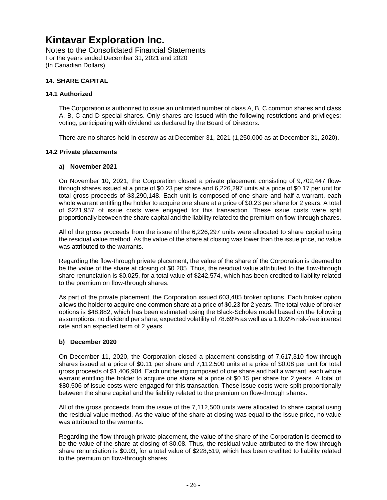Notes to the Consolidated Financial Statements For the years ended December 31, 2021 and 2020 (In Canadian Dollars)

#### **14. SHARE CAPITAL**

#### **14.1 Authorized**

The Corporation is authorized to issue an unlimited number of class A, B, C common shares and class A, B, C and D special shares. Only shares are issued with the following restrictions and privileges: voting, participating with dividend as declared by the Board of Directors.

There are no shares held in escrow as at December 31, 2021 (1,250,000 as at December 31, 2020).

#### **14.2 Private placements**

#### **a) November 2021**

On November 10, 2021, the Corporation closed a private placement consisting of 9,702,447 flowthrough shares issued at a price of \$0.23 per share and 6,226,297 units at a price of \$0.17 per unit for total gross proceeds of \$3,290,148. Each unit is composed of one share and half a warrant, each whole warrant entitling the holder to acquire one share at a price of \$0.23 per share for 2 years. A total of \$221,957 of issue costs were engaged for this transaction. These issue costs were split proportionally between the share capital and the liability related to the premium on flow-through shares.

All of the gross proceeds from the issue of the 6,226,297 units were allocated to share capital using the residual value method. As the value of the share at closing was lower than the issue price, no value was attributed to the warrants.

Regarding the flow-through private placement, the value of the share of the Corporation is deemed to be the value of the share at closing of \$0.205. Thus, the residual value attributed to the flow-through share renunciation is \$0.025, for a total value of \$242,574, which has been credited to liability related to the premium on flow-through shares.

As part of the private placement, the Corporation issued 603,485 broker options. Each broker option allows the holder to acquire one common share at a price of \$0.23 for 2 years. The total value of broker options is \$48,882, which has been estimated using the Black-Scholes model based on the following assumptions: no dividend per share, expected volatility of 78.69% as well as a 1.002% risk-free interest rate and an expected term of 2 years.

#### **b) December 2020**

On December 11, 2020, the Corporation closed a placement consisting of 7,617,310 flow-through shares issued at a price of \$0.11 per share and 7,112,500 units at a price of \$0.08 per unit for total gross proceeds of \$1,406,904. Each unit being composed of one share and half a warrant, each whole warrant entitling the holder to acquire one share at a price of \$0.15 per share for 2 years. A total of \$80,506 of issue costs were engaged for this transaction. These issue costs were split proportionally between the share capital and the liability related to the premium on flow-through shares.

All of the gross proceeds from the issue of the 7,112,500 units were allocated to share capital using the residual value method. As the value of the share at closing was equal to the issue price, no value was attributed to the warrants.

Regarding the flow-through private placement, the value of the share of the Corporation is deemed to be the value of the share at closing of \$0.08. Thus, the residual value attributed to the flow-through share renunciation is \$0.03, for a total value of \$228,519, which has been credited to liability related to the premium on flow-through shares.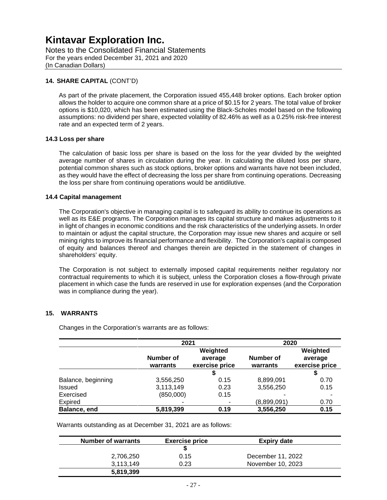Notes to the Consolidated Financial Statements For the years ended December 31, 2021 and 2020 (In Canadian Dollars)

#### **14. SHARE CAPITAL** (CONT'D)

As part of the private placement, the Corporation issued 455,448 broker options. Each broker option allows the holder to acquire one common share at a price of \$0.15 for 2 years. The total value of broker options is \$10,020, which has been estimated using the Black-Scholes model based on the following assumptions: no dividend per share, expected volatility of 82.46% as well as a 0.25% risk-free interest rate and an expected term of 2 years.

#### **14.3 Loss per share**

The calculation of basic loss per share is based on the loss for the year divided by the weighted average number of shares in circulation during the year. In calculating the diluted loss per share, potential common shares such as stock options, broker options and warrants have not been included, as they would have the effect of decreasing the loss per share from continuing operations. Decreasing the loss per share from continuing operations would be antidilutive.

#### **14.4 Capital management**

The Corporation's objective in managing capital is to safeguard its ability to continue its operations as well as its E&E programs. The Corporation manages its capital structure and makes adjustments to it in light of changes in economic conditions and the risk characteristics of the underlying assets. In order to maintain or adjust the capital structure, the Corporation may issue new shares and acquire or sell mining rights to improve its financial performance and flexibility. The Corporation's capital is composed of equity and balances thereof and changes therein are depicted in the statement of changes in shareholders' equity.

The Corporation is not subject to externally imposed capital requirements neither regulatory nor contractual requirements to which it is subject, unless the Corporation closes a flow-through private placement in which case the funds are reserved in use for exploration expenses (and the Corporation was in compliance during the year).

#### **15. WARRANTS**

|                    | 2021                  |                                       | 2020                  |                                       |
|--------------------|-----------------------|---------------------------------------|-----------------------|---------------------------------------|
|                    | Number of<br>warrants | Weighted<br>average<br>exercise price | Number of<br>warrants | Weighted<br>average<br>exercise price |
|                    |                       |                                       |                       | S                                     |
| Balance, beginning | 3,556,250             | 0.15                                  | 8,899,091             | 0.70                                  |
| Issued             | 3,113,149             | 0.23                                  | 3,556,250             | 0.15                                  |
| Exercised          | (850,000)             | 0.15                                  |                       |                                       |
| <b>Expired</b>     |                       |                                       | (8,899,091)           | 0.70                                  |
| Balance, end       | 5,819,399             | 0.19                                  | 3,556,250             | 0.15                                  |

Changes in the Corporation's warrants are as follows:

Warrants outstanding as at December 31, 2021 are as follows:

| <b>Number of warrants</b> | <b>Exercise price</b> | Expiry date       |  |
|---------------------------|-----------------------|-------------------|--|
|                           |                       |                   |  |
| 2,706,250                 | 0.15                  | December 11, 2022 |  |
| 3.113.149                 | 0.23                  | November 10, 2023 |  |
| 5,819,399                 |                       |                   |  |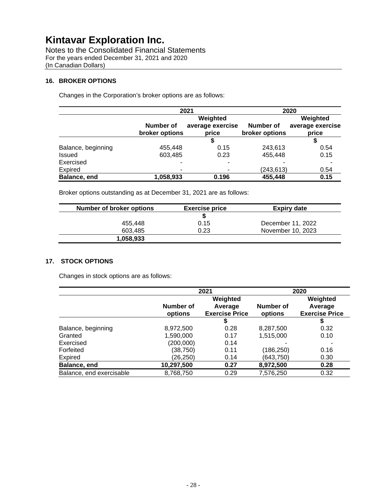| Notes to the Consolidated Financial Statements |
|------------------------------------------------|
| For the years ended December 31, 2021 and 2020 |
| (In Canadian Dollars)                          |

#### **16. BROKER OPTIONS**

Changes in the Corporation's broker options are as follows:

|                    | 2021                     |                  | 2020             |                  |
|--------------------|--------------------------|------------------|------------------|------------------|
|                    | Weighted                 |                  |                  | Weighted         |
|                    | Number of                | average exercise | <b>Number of</b> | average exercise |
|                    | broker options           | price            | broker options   | price            |
|                    |                          |                  |                  |                  |
| Balance, beginning | 455,448                  | 0.15             | 243,613          | 0.54             |
| <b>Issued</b>      | 603,485                  | 0.23             | 455,448          | 0.15             |
| Exercised          | $\blacksquare$           |                  |                  |                  |
| Expired            | $\overline{\phantom{a}}$ |                  | (243, 613)       | 0.54             |
| Balance, end       | 1,058,933                | 0.196            | 455,448          | 0.15             |

Broker options outstanding as at December 31, 2021 are as follows:

| <b>Number of broker options</b> | <b>Exercise price</b> | <b>Expiry date</b> |
|---------------------------------|-----------------------|--------------------|
|                                 |                       |                    |
| 455.448                         | 0.15                  | December 11, 2022  |
| 603.485                         | 0.23                  | November 10, 2023  |
| 1,058,933                       |                       |                    |

#### **17. STOCK OPTIONS**

Changes in stock options are as follows:

|                          | 2021                 |                                  | 2020                 |                                  |
|--------------------------|----------------------|----------------------------------|----------------------|----------------------------------|
|                          | Weighted             |                                  | Weighted             |                                  |
|                          | Number of<br>options | Average<br><b>Exercise Price</b> | Number of<br>options | Average<br><b>Exercise Price</b> |
|                          |                      | 5                                |                      |                                  |
| Balance, beginning       | 8,972,500            | 0.28                             | 8,287,500            | 0.32                             |
| Granted                  | 1,590,000            | 0.17                             | 1,515,000            | 0.10                             |
| Exercised                | (200,000)            | 0.14                             |                      |                                  |
| Forfeited                | (38,750)             | 0.11                             | (186,250)            | 0.16                             |
| Expired                  | (26,250)             | 0.14                             | (643,750)            | 0.30                             |
| Balance, end             | 10,297,500           | 0.27                             | 8,972,500            | 0.28                             |
| Balance, end exercisable | 8,768,750            | 0.29                             | 7.576.250            | 0.32                             |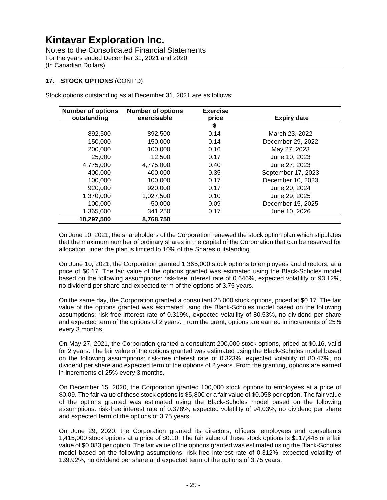Notes to the Consolidated Financial Statements For the years ended December 31, 2021 and 2020 (In Canadian Dollars)

#### **17. STOCK OPTIONS** (CONT'D)

Stock options outstanding as at December 31, 2021 are as follows:

| <b>Number of options</b><br>outstanding | <b>Number of options</b><br>exercisable | <b>Exercise</b><br>price | <b>Expiry date</b> |
|-----------------------------------------|-----------------------------------------|--------------------------|--------------------|
|                                         |                                         | \$                       |                    |
| 892,500                                 | 892,500                                 | 0.14                     | March 23, 2022     |
| 150,000                                 | 150,000                                 | 0.14                     | December 29, 2022  |
| 200,000                                 | 100,000                                 | 0.16                     | May 27, 2023       |
| 25,000                                  | 12.500                                  | 0.17                     | June 10, 2023      |
| 4,775,000                               | 4,775,000                               | 0.40                     | June 27, 2023      |
| 400.000                                 | 400,000                                 | 0.35                     | September 17, 2023 |
| 100,000                                 | 100,000                                 | 0.17                     | December 10, 2023  |
| 920,000                                 | 920,000                                 | 0.17                     | June 20, 2024      |
| 1.370.000                               | 1,027,500                               | 0.10                     | June 29, 2025      |
| 100.000                                 | 50,000                                  | 0.09                     | December 15, 2025  |
| 1,365,000                               | 341,250                                 | 0.17                     | June 10, 2026      |
| 10,297,500                              | 8,768,750                               |                          |                    |

On June 10, 2021, the shareholders of the Corporation renewed the stock option plan which stipulates that the maximum number of ordinary shares in the capital of the Corporation that can be reserved for allocation under the plan is limited to 10% of the Shares outstanding.

On June 10, 2021, the Corporation granted 1,365,000 stock options to employees and directors, at a price of \$0.17. The fair value of the options granted was estimated using the Black-Scholes model based on the following assumptions: risk-free interest rate of 0.646%, expected volatility of 93.12%, no dividend per share and expected term of the options of 3.75 years.

On the same day, the Corporation granted a consultant 25,000 stock options, priced at \$0.17. The fair value of the options granted was estimated using the Black-Scholes model based on the following assumptions: risk-free interest rate of 0.319%, expected volatility of 80.53%, no dividend per share and expected term of the options of 2 years. From the grant, options are earned in increments of 25% every 3 months.

On May 27, 2021, the Corporation granted a consultant 200,000 stock options, priced at \$0.16, valid for 2 years. The fair value of the options granted was estimated using the Black-Scholes model based on the following assumptions: risk-free interest rate of 0.323%, expected volatility of 80.47%, no dividend per share and expected term of the options of 2 years. From the granting, options are earned in increments of 25% every 3 months.

On December 15, 2020, the Corporation granted 100,000 stock options to employees at a price of \$0.09. The fair value of these stock options is \$5,800 or a fair value of \$0.058 per option. The fair value of the options granted was estimated using the Black-Scholes model based on the following assumptions: risk-free interest rate of 0.378%, expected volatility of 94.03%, no dividend per share and expected term of the options of 3.75 years.

On June 29, 2020, the Corporation granted its directors, officers, employees and consultants 1,415,000 stock options at a price of \$0.10. The fair value of these stock options is \$117,445 or a fair value of \$0.083 per option. The fair value of the options granted was estimated using the Black-Scholes model based on the following assumptions: risk-free interest rate of 0.312%, expected volatility of 139.92%, no dividend per share and expected term of the options of 3.75 years.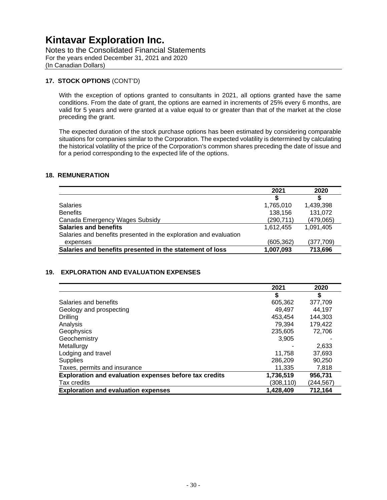Notes to the Consolidated Financial Statements For the years ended December 31, 2021 and 2020 (In Canadian Dollars)

#### **17. STOCK OPTIONS** (CONT'D)

With the exception of options granted to consultants in 2021, all options granted have the same conditions. From the date of grant, the options are earned in increments of 25% every 6 months, are valid for 5 years and were granted at a value equal to or greater than that of the market at the close preceding the grant.

The expected duration of the stock purchase options has been estimated by considering comparable situations for companies similar to the Corporation. The expected volatility is determined by calculating the historical volatility of the price of the Corporation's common shares preceding the date of issue and for a period corresponding to the expected life of the options.

#### **18. REMUNERATION**

|                                                                   | 2021       | 2020       |
|-------------------------------------------------------------------|------------|------------|
|                                                                   | S          | S          |
| <b>Salaries</b>                                                   | 1,765,010  | 1,439,398  |
| <b>Benefits</b>                                                   | 138,156    | 131,072    |
| Canada Emergency Wages Subsidy                                    | (290, 711) | (479,065)  |
| <b>Salaries and benefits</b>                                      | 1.612.455  | 1.091.405  |
| Salaries and benefits presented in the exploration and evaluation |            |            |
| expenses                                                          | (605, 362) | (377, 709) |
| Salaries and benefits presented in the statement of loss          | 1,007,093  | 713,696    |

#### **19. EXPLORATION AND EVALUATION EXPENSES**

|                                                        | 2021      | 2020      |
|--------------------------------------------------------|-----------|-----------|
|                                                        | \$        | S         |
| Salaries and benefits                                  | 605,362   | 377.709   |
| Geology and prospecting                                | 49.497    | 44,197    |
| Drilling                                               | 453.454   | 144.303   |
| Analysis                                               | 79.394    | 179,422   |
| Geophysics                                             | 235,605   | 72,706    |
| Geochemistry                                           | 3,905     |           |
| Metallurgy                                             |           | 2,633     |
| Lodging and travel                                     | 11,758    | 37,693    |
| <b>Supplies</b>                                        | 286,209   | 90.250    |
| Taxes, permits and insurance                           | 11,335    | 7,818     |
| Exploration and evaluation expenses before tax credits | 1,736,519 | 956,731   |
| Tax credits                                            | (308,110) | (244,567) |
| <b>Exploration and evaluation expenses</b>             | 1,428,409 | 712,164   |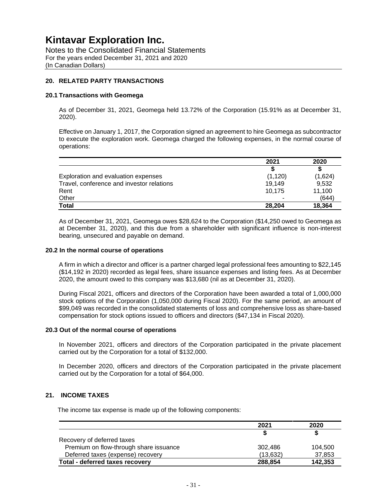Notes to the Consolidated Financial Statements For the years ended December 31, 2021 and 2020 (In Canadian Dollars)

#### **20. RELATED PARTY TRANSACTIONS**

#### **20.1 Transactions with Geomega**

As of December 31, 2021, Geomega held 13.72% of the Corporation (15.91% as at December 31, 2020).

Effective on January 1, 2017, the Corporation signed an agreement to hire Geomega as subcontractor to execute the exploration work. Geomega charged the following expenses, in the normal course of operations:

|                                           | 2021                     | 2020    |
|-------------------------------------------|--------------------------|---------|
|                                           |                          |         |
| Exploration and evaluation expenses       | (1, 120)                 | (1,624) |
| Travel, conference and investor relations | 19,149                   | 9,532   |
| Rent                                      | 10.175                   | 11,100  |
| Other                                     | $\overline{\phantom{0}}$ | (644)   |
| <b>Total</b>                              | 28.204                   | 18.364  |

As of December 31, 2021, Geomega owes \$28,624 to the Corporation (\$14,250 owed to Geomega as at December 31, 2020), and this due from a shareholder with significant influence is non-interest bearing, unsecured and payable on demand.

#### **20.2 In the normal course of operations**

A firm in which a director and officer is a partner charged legal professional fees amounting to \$22,145 (\$14,192 in 2020) recorded as legal fees, share issuance expenses and listing fees. As at December 2020, the amount owed to this company was \$13,680 (nil as at December 31, 2020).

During Fiscal 2021, officers and directors of the Corporation have been awarded a total of 1,000,000 stock options of the Corporation (1,050,000 during Fiscal 2020). For the same period, an amount of \$99,049 was recorded in the consolidated statements of loss and comprehensive loss as share-based compensation for stock options issued to officers and directors (\$47,134 in Fiscal 2020).

#### **20.3 Out of the normal course of operations**

In November 2021, officers and directors of the Corporation participated in the private placement carried out by the Corporation for a total of \$132,000.

In December 2020, officers and directors of the Corporation participated in the private placement carried out by the Corporation for a total of \$64,000.

#### **21. INCOME TAXES**

The income tax expense is made up of the following components:

|                                        | 2021      | 2020    |
|----------------------------------------|-----------|---------|
|                                        |           |         |
| Recovery of deferred taxes             |           |         |
| Premium on flow-through share issuance | 302.486   | 104.500 |
| Deferred taxes (expense) recovery      | (13, 632) | 37,853  |
| Total - deferred taxes recovery        | 288,854   | 142,353 |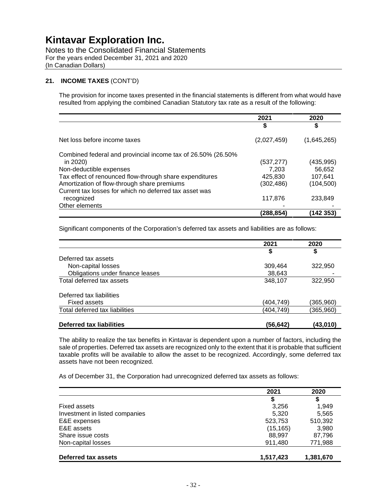Notes to the Consolidated Financial Statements For the years ended December 31, 2021 and 2020 (In Canadian Dollars)

#### **21. INCOME TAXES** (CONT'D)

The provision for income taxes presented in the financial statements is different from what would have resulted from applying the combined Canadian Statutory tax rate as a result of the following:

|                                                               | 2021        | 2020        |
|---------------------------------------------------------------|-------------|-------------|
|                                                               | \$          | \$          |
| Net loss before income taxes                                  | (2,027,459) | (1,645,265) |
| Combined federal and provincial income tax of 26.50% (26.50%) |             |             |
| in 2020)                                                      | (537,277)   | (435, 995)  |
| Non-deductible expenses                                       | 7.203       | 56,652      |
| Tax effect of renounced flow-through share expenditures       | 425,830     | 107,641     |
| Amortization of flow-through share premiums                   | (302,486)   | (104, 500)  |
| Current tax losses for which no deferred tax asset was        |             |             |
| recognized                                                    | 117,876     | 233,849     |
| Other elements                                                |             |             |
|                                                               | (288,854)   | (142 353)   |

Significant components of the Corporation's deferred tax assets and liabilities are as follows:

|                                  | 2021      | 2020      |
|----------------------------------|-----------|-----------|
|                                  | \$        | \$        |
| Deferred tax assets              |           |           |
| Non-capital losses               | 309,464   | 322,950   |
| Obligations under finance leases | 38,643    |           |
| Total deferred tax assets        | 348,107   | 322,950   |
| Deferred tax liabilities         |           |           |
| Fixed assets                     | (404,749) | (365,960) |
| Total deferred tax liabilities   | (404,749) | (365,960) |
| Deferred tax liabilities         | (56,642)  | (43,010)  |

The ability to realize the tax benefits in Kintavar is dependent upon a number of factors, including the sale of properties. Deferred tax assets are recognized only to the extent that it is probable that sufficient taxable profits will be available to allow the asset to be recognized. Accordingly, some deferred tax assets have not been recognized.

As of December 31, the Corporation had unrecognized deferred tax assets as follows:

|                                | 2021      | 2020      |
|--------------------------------|-----------|-----------|
|                                | \$        | \$        |
| Fixed assets                   | 3,256     | 1.949     |
| Investment in listed companies | 5.320     | 5,565     |
| E&E expenses                   | 523,753   | 510,392   |
| E&E assets                     | (15, 165) | 3,980     |
| Share issue costs              | 88,997    | 87,796    |
| Non-capital losses             | 911.480   | 771,988   |
| Deferred tax assets            | 1,517,423 | 1,381,670 |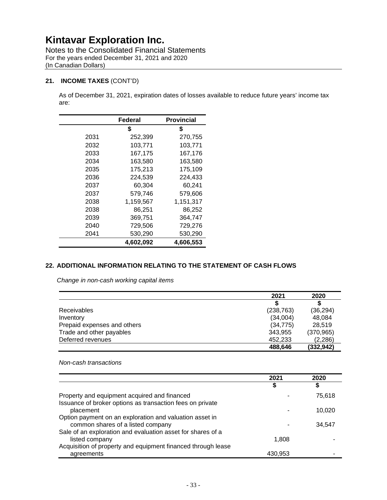Notes to the Consolidated Financial Statements For the years ended December 31, 2021 and 2020 (In Canadian Dollars)

#### **21. INCOME TAXES** (CONT'D)

As of December 31, 2021, expiration dates of losses available to reduce future years' income tax are:

|      | Federal   | <b>Provincial</b> |
|------|-----------|-------------------|
|      | \$        | \$                |
| 2031 | 252,399   | 270,755           |
| 2032 | 103,771   | 103,771           |
| 2033 | 167,175   | 167,176           |
| 2034 | 163,580   | 163,580           |
| 2035 | 175,213   | 175,109           |
| 2036 | 224,539   | 224,433           |
| 2037 | 60,304    | 60,241            |
| 2037 | 579,746   | 579,606           |
| 2038 | 1,159,567 | 1,151,317         |
| 2038 | 86.251    | 86.252            |
| 2039 | 369,751   | 364,747           |
| 2040 | 729,506   | 729,276           |
| 2041 | 530,290   | 530,290           |
|      | 4,602,092 | 4,606,553         |

#### **22. ADDITIONAL INFORMATION RELATING TO THE STATEMENT OF CASH FLOWS**

*Change in non-cash working capital items* 

|                             | 2021       | 2020       |
|-----------------------------|------------|------------|
|                             |            |            |
| Receivables                 | (238, 763) | (36, 294)  |
| Inventory                   | (34,004)   | 48,084     |
| Prepaid expenses and others | (34, 775)  | 28.519     |
| Trade and other payables    | 343,955    | (370, 965) |
| Deferred revenues           | 452,233    | (2,286)    |
|                             | 488,646    | (332, 942) |

#### *Non-cash transactions*

|                                                              | 2021    | 2020   |
|--------------------------------------------------------------|---------|--------|
|                                                              | J       | S      |
| Property and equipment acquired and financed                 |         | 75.618 |
| Issuance of broker options as transaction fees on private    |         |        |
| placement                                                    |         | 10,020 |
| Option payment on an exploration and valuation asset in      |         |        |
| common shares of a listed company                            |         | 34.547 |
| Sale of an exploration and evaluation asset for shares of a  |         |        |
| listed company                                               | 1.808   |        |
| Acquisition of property and equipment financed through lease |         |        |
| agreements                                                   | 430,953 |        |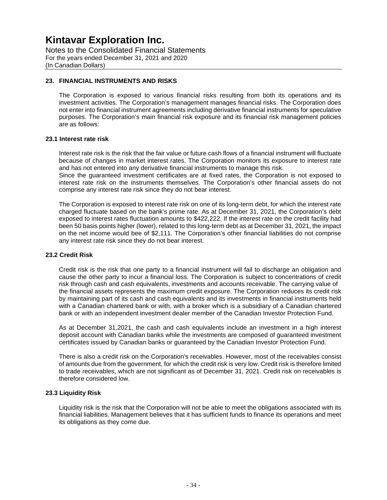Notes to the Consolidated Financial Statements For the years ended December 31, 2021 and 2020 (In Canadian Dollars)

#### **23. FINANCIAL INSTRUMENTS AND RISKS**

The Corporation is exposed to various financial risks resulting from both its operations and its investment activities. The Corporation's management manages financial risks. The Corporation does not enter into financial instrument agreements including derivative financial instruments for speculative purposes. The Corporation's main financial risk exposure and its financial risk management policies are as follows:

#### **23.1 Interest rate risk**

Interest rate risk is the risk that the fair value or future cash flows of a financial instrument will fluctuate because of changes in market interest rates. The Corporation monitors its exposure to interest rate and has not entered into any derivative financial instruments to manage this risk.

Since the guaranteed investment certificates are at fixed rates, the Corporation is not exposed to interest rate risk on the instruments themselves. The Corporation's other financial assets do not comprise any interest rate risk since they do not bear interest.

The Corporation is exposed to interest rate risk on one of its long-term debt, for which the interest rate charged fluctuate based on the bank's prime rate. As at December 31, 2021, the Corporation's debt exposed to interest rates fluctuation amounts to \$422,222. If the interest rate on the credit facility had been 50 basis points higher (lower), related to this long-term debt as at December 31, 2021, the impact on the net income would bee of \$2,111. The Corporation's other financial liabilities do not comprise any interest rate risk since they do not bear interest.

#### **23.2 Credit Risk**

Credit risk is the risk that one party to a financial instrument will fail to discharge an obligation and cause the other party to incur a financial loss. The Corporation is subject to concentrations of credit risk through cash and cash equivalents, investments and accounts receivable. The carrying value of the financial assets represents the maximum credit exposure. The Corporation reduces its credit risk by maintaining part of its cash and cash equivalents and its investments in financial instruments held with a Canadian chartered bank or with, with a broker which is a subsidiary of a Canadian chartered bank or with an independent investment dealer member of the Canadian Investor Protection Fund.

As at December 31,2021, the cash and cash equivalents include an investment in a high interest deposit account with Canadian banks while the investments are composed of guaranteed investment certificates issued by Canadian banks or guaranteed by the Canadian Investor Protection Fund.

There is also a credit risk on the Corporation's receivables. However, most of the receivables consist of amounts due from the government, for which the credit risk is very low. Credit risk is therefore limited to trade receivables, which are not significant as of December 31, 2021. Credit risk on receivables is therefore considered low.

#### **23.3 Liquidity Risk**

Liquidity risk is the risk that the Corporation will not be able to meet the obligations associated with its financial liabilities. Management believes that it has sufficient funds to finance its operations and meet its obligations as they come due.